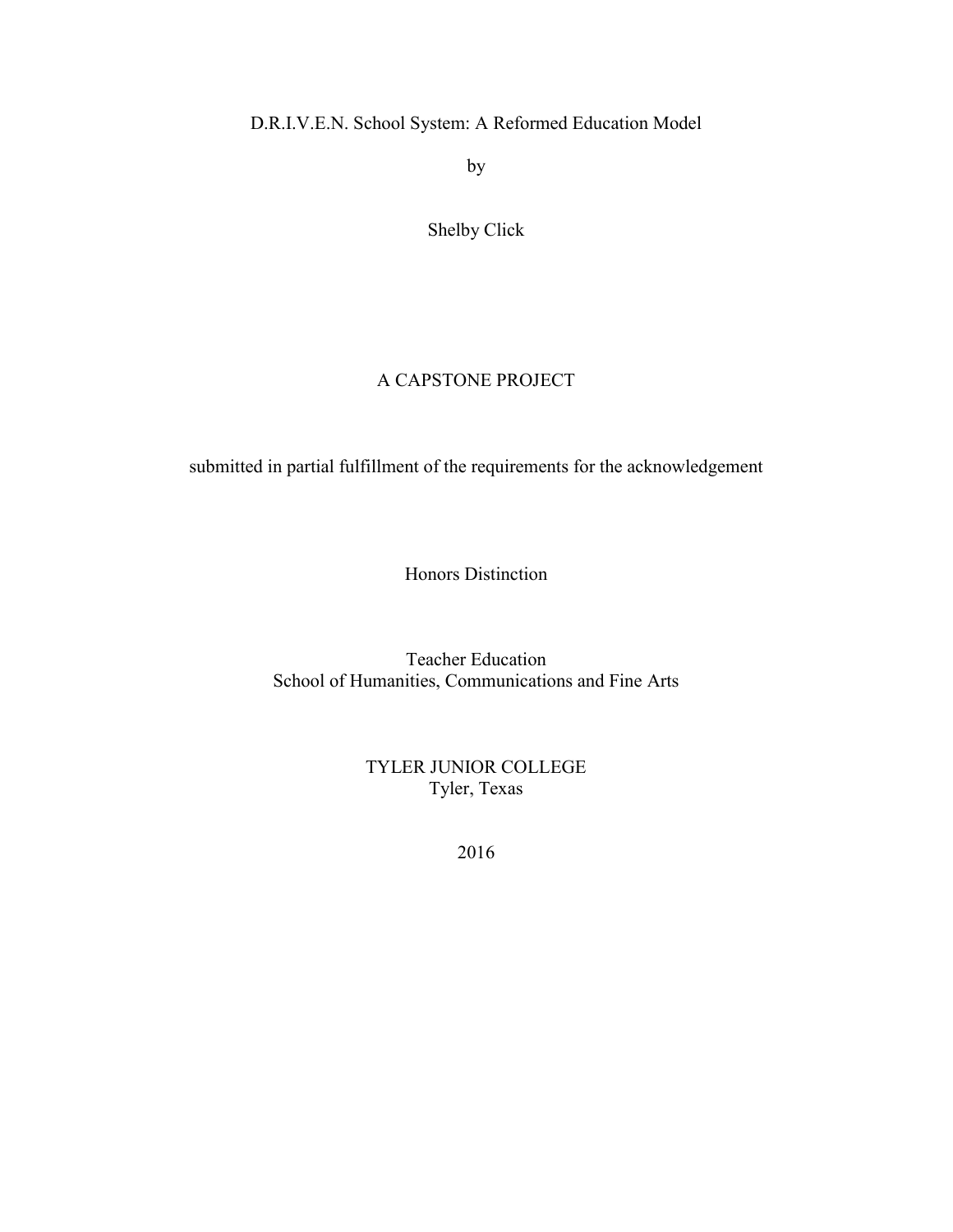# D.R.I.V.E.N. School System: A Reformed Education Model

by

# Shelby Click

# A CAPSTONE PROJECT

submitted in partial fulfillment of the requirements for the acknowledgement

Honors Distinction

Teacher Education School of Humanities, Communications and Fine Arts

> TYLER JUNIOR COLLEGE Tyler, Texas

> > 2016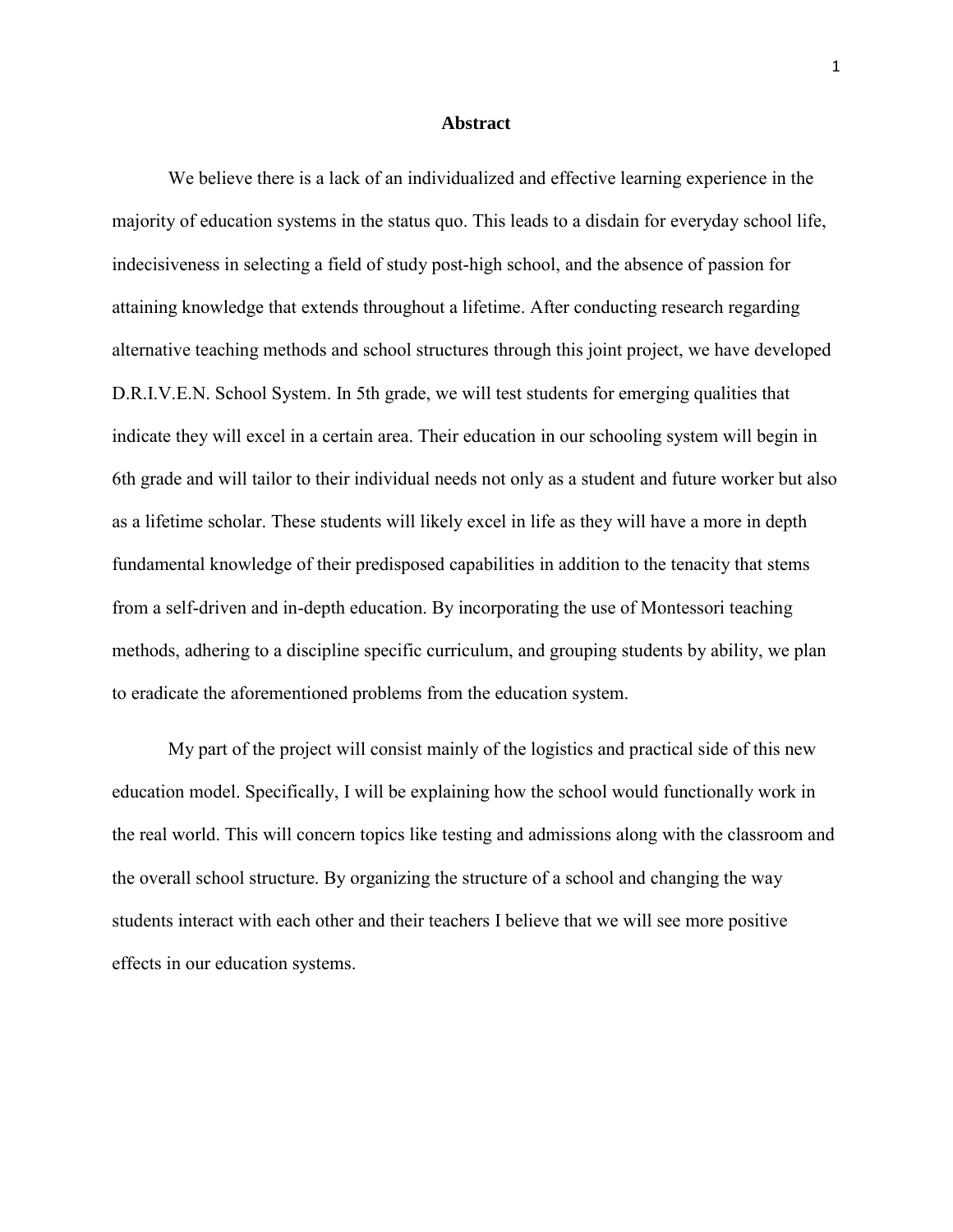#### **Abstract**

We believe there is a lack of an individualized and effective learning experience in the majority of education systems in the status quo. This leads to a disdain for everyday school life, indecisiveness in selecting a field of study post-high school, and the absence of passion for attaining knowledge that extends throughout a lifetime. After conducting research regarding alternative teaching methods and school structures through this joint project, we have developed D.R.I.V.E.N. School System. In 5th grade, we will test students for emerging qualities that indicate they will excel in a certain area. Their education in our schooling system will begin in 6th grade and will tailor to their individual needs not only as a student and future worker but also as a lifetime scholar. These students will likely excel in life as they will have a more in depth fundamental knowledge of their predisposed capabilities in addition to the tenacity that stems from a self-driven and in-depth education. By incorporating the use of Montessori teaching methods, adhering to a discipline specific curriculum, and grouping students by ability, we plan to eradicate the aforementioned problems from the education system.

My part of the project will consist mainly of the logistics and practical side of this new education model. Specifically, I will be explaining how the school would functionally work in the real world. This will concern topics like testing and admissions along with the classroom and the overall school structure. By organizing the structure of a school and changing the way students interact with each other and their teachers I believe that we will see more positive effects in our education systems.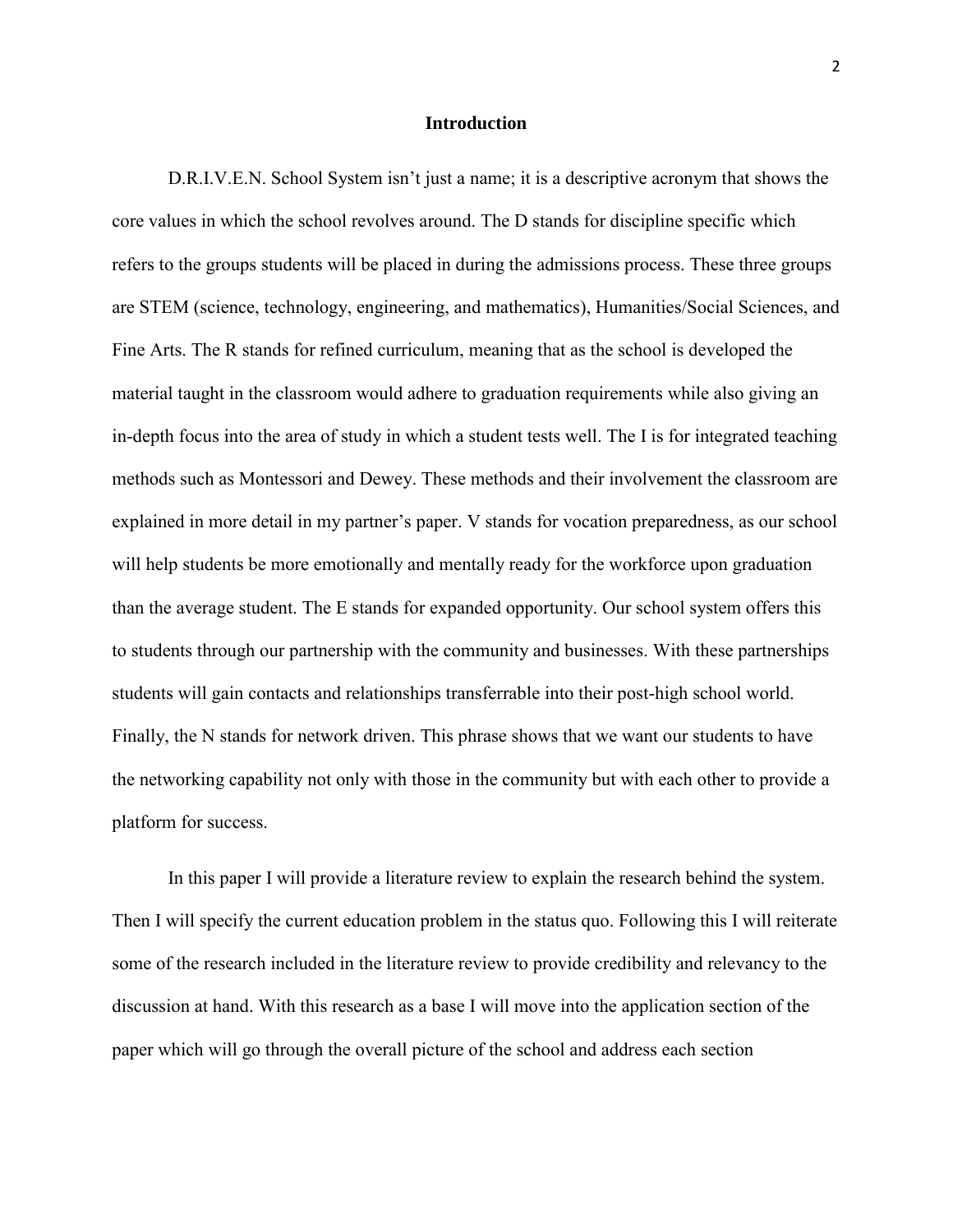#### **Introduction**

D.R.I.V.E.N. School System isn't just a name; it is a descriptive acronym that shows the core values in which the school revolves around. The D stands for discipline specific which refers to the groups students will be placed in during the admissions process. These three groups are STEM (science, technology, engineering, and mathematics), Humanities/Social Sciences, and Fine Arts. The R stands for refined curriculum, meaning that as the school is developed the material taught in the classroom would adhere to graduation requirements while also giving an in-depth focus into the area of study in which a student tests well. The I is for integrated teaching methods such as Montessori and Dewey. These methods and their involvement the classroom are explained in more detail in my partner's paper. V stands for vocation preparedness, as our school will help students be more emotionally and mentally ready for the workforce upon graduation than the average student. The E stands for expanded opportunity. Our school system offers this to students through our partnership with the community and businesses. With these partnerships students will gain contacts and relationships transferrable into their post-high school world. Finally, the N stands for network driven. This phrase shows that we want our students to have the networking capability not only with those in the community but with each other to provide a platform for success.

In this paper I will provide a literature review to explain the research behind the system. Then I will specify the current education problem in the status quo. Following this I will reiterate some of the research included in the literature review to provide credibility and relevancy to the discussion at hand. With this research as a base I will move into the application section of the paper which will go through the overall picture of the school and address each section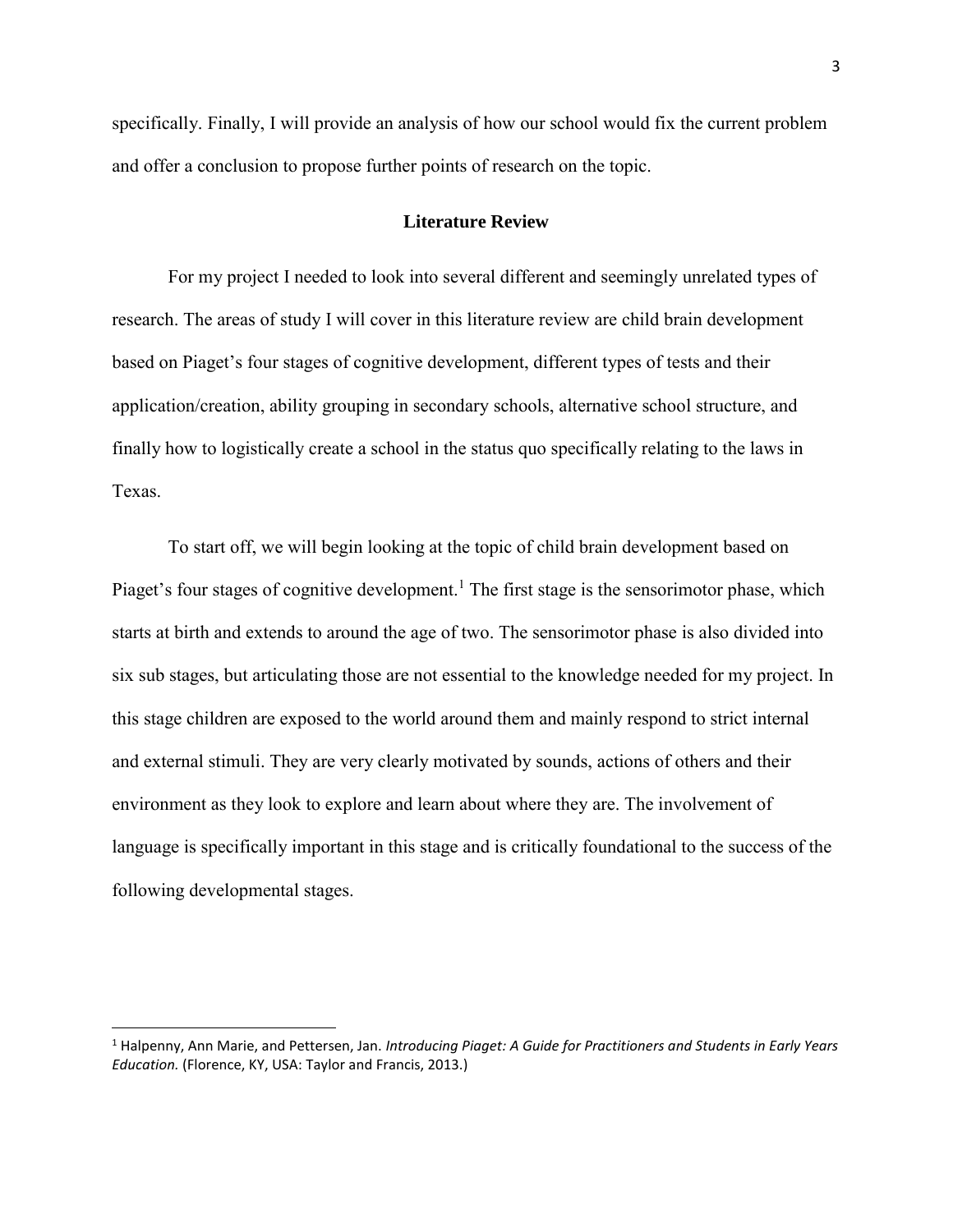specifically. Finally, I will provide an analysis of how our school would fix the current problem and offer a conclusion to propose further points of research on the topic.

### **Literature Review**

For my project I needed to look into several different and seemingly unrelated types of research. The areas of study I will cover in this literature review are child brain development based on Piaget's four stages of cognitive development, different types of tests and their application/creation, ability grouping in secondary schools, alternative school structure, and finally how to logistically create a school in the status quo specifically relating to the laws in Texas.

To start off, we will begin looking at the topic of child brain development based on Piaget's four stages of cognitive development.<sup>1</sup> The first stage is the sensorimotor phase, which starts at birth and extends to around the age of two. The sensorimotor phase is also divided into six sub stages, but articulating those are not essential to the knowledge needed for my project. In this stage children are exposed to the world around them and mainly respond to strict internal and external stimuli. They are very clearly motivated by sounds, actions of others and their environment as they look to explore and learn about where they are. The involvement of language is specifically important in this stage and is critically foundational to the success of the following developmental stages.

<sup>1</sup> Halpenny, Ann Marie, and Pettersen, Jan. *Introducing Piaget: A Guide for Practitioners and Students in Early Years Education.* (Florence, KY, USA: Taylor and Francis, 2013.)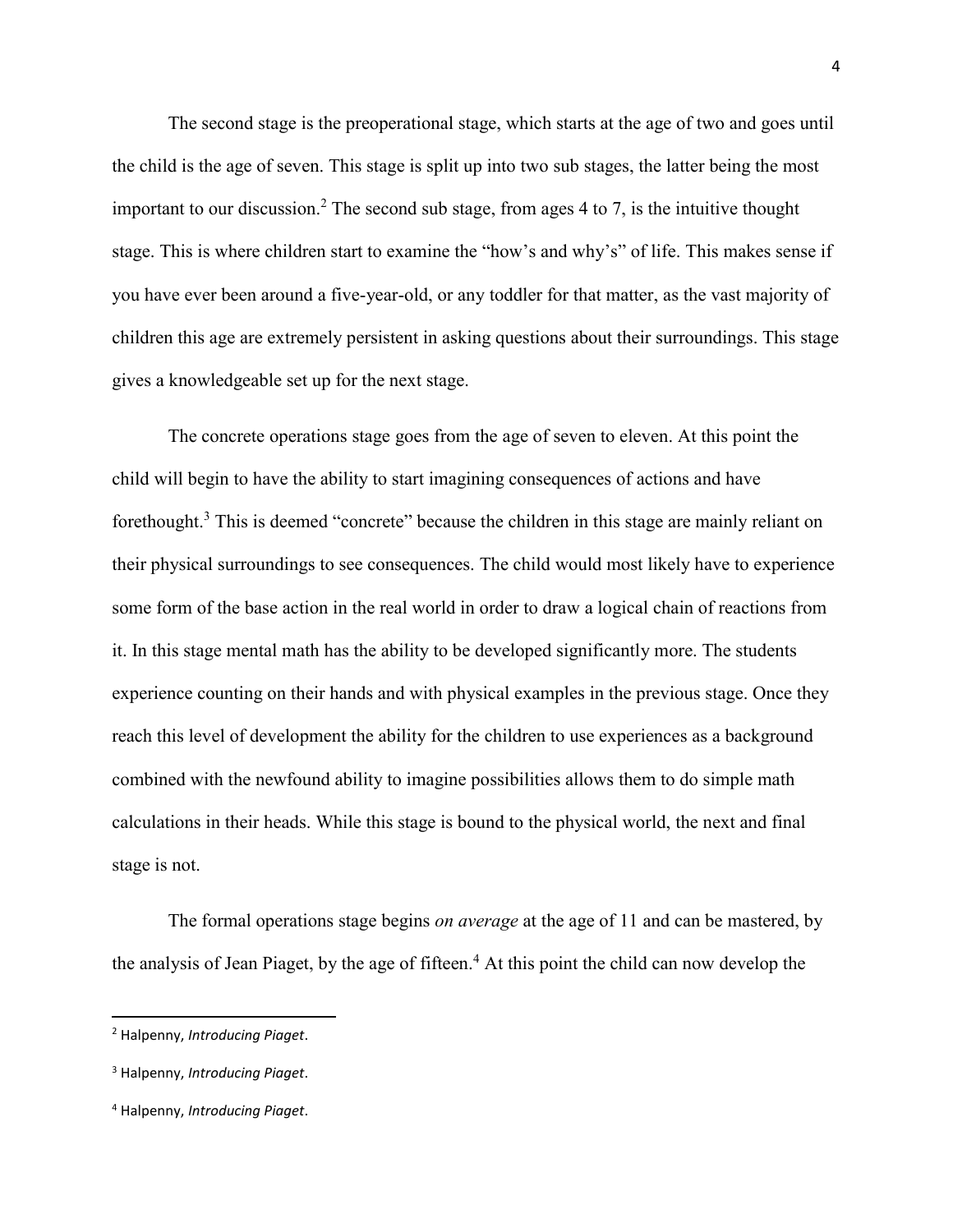The second stage is the preoperational stage, which starts at the age of two and goes until the child is the age of seven. This stage is split up into two sub stages, the latter being the most important to our discussion.<sup>2</sup> The second sub stage, from ages 4 to 7, is the intuitive thought stage. This is where children start to examine the "how's and why's" of life. This makes sense if you have ever been around a five-year-old, or any toddler for that matter, as the vast majority of children this age are extremely persistent in asking questions about their surroundings. This stage gives a knowledgeable set up for the next stage.

The concrete operations stage goes from the age of seven to eleven. At this point the child will begin to have the ability to start imagining consequences of actions and have forethought.<sup>3</sup> This is deemed "concrete" because the children in this stage are mainly reliant on their physical surroundings to see consequences. The child would most likely have to experience some form of the base action in the real world in order to draw a logical chain of reactions from it. In this stage mental math has the ability to be developed significantly more. The students experience counting on their hands and with physical examples in the previous stage. Once they reach this level of development the ability for the children to use experiences as a background combined with the newfound ability to imagine possibilities allows them to do simple math calculations in their heads. While this stage is bound to the physical world, the next and final stage is not.

The formal operations stage begins *on average* at the age of 11 and can be mastered, by the analysis of Jean Piaget, by the age of fifteen.<sup>4</sup> At this point the child can now develop the

<sup>2</sup> Halpenny, *Introducing Piaget*.

<sup>3</sup> Halpenny, *Introducing Piaget*.

<sup>4</sup> Halpenny, *Introducing Piaget*.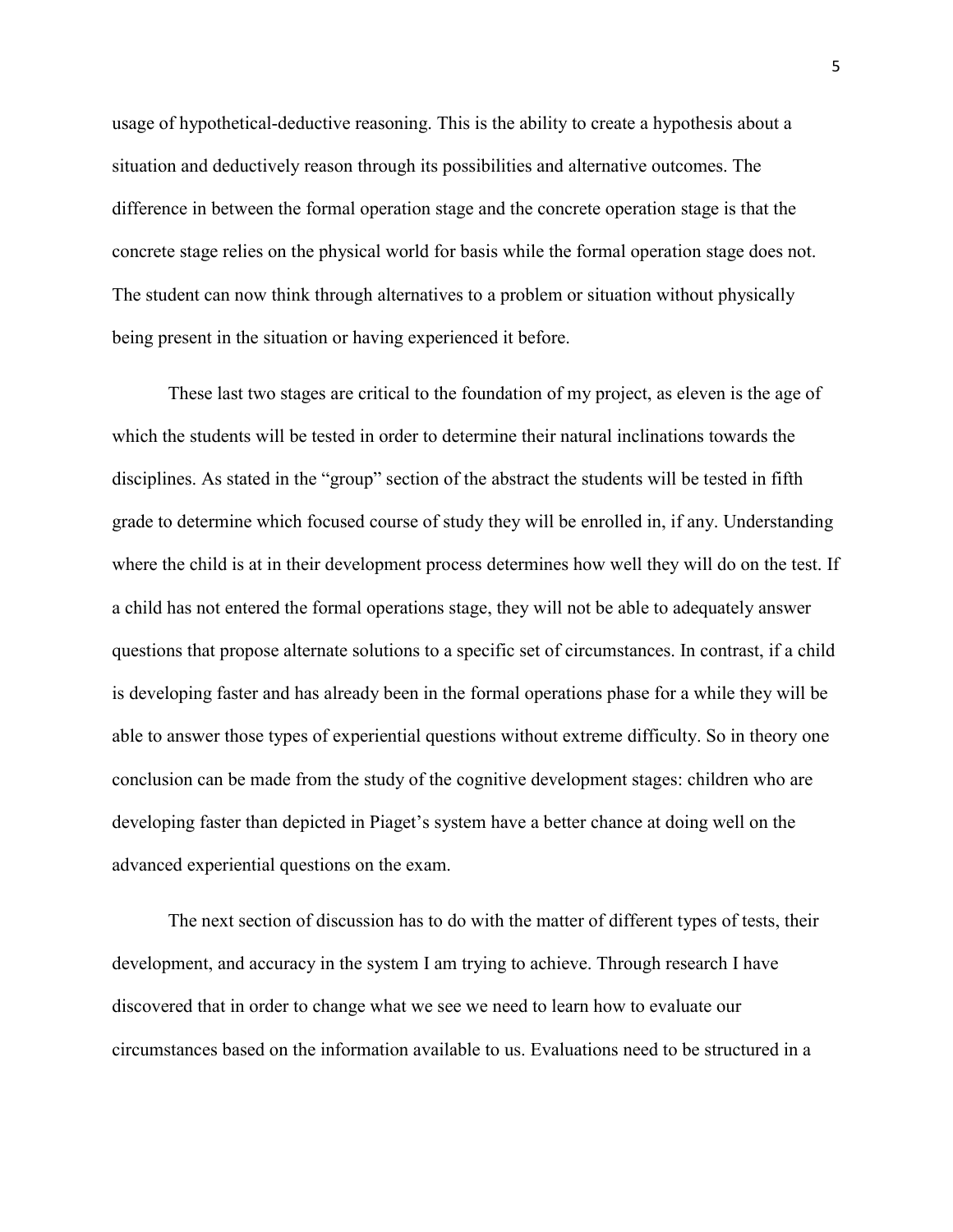usage of hypothetical-deductive reasoning. This is the ability to create a hypothesis about a situation and deductively reason through its possibilities and alternative outcomes. The difference in between the formal operation stage and the concrete operation stage is that the concrete stage relies on the physical world for basis while the formal operation stage does not. The student can now think through alternatives to a problem or situation without physically being present in the situation or having experienced it before.

These last two stages are critical to the foundation of my project, as eleven is the age of which the students will be tested in order to determine their natural inclinations towards the disciplines. As stated in the "group" section of the abstract the students will be tested in fifth grade to determine which focused course of study they will be enrolled in, if any. Understanding where the child is at in their development process determines how well they will do on the test. If a child has not entered the formal operations stage, they will not be able to adequately answer questions that propose alternate solutions to a specific set of circumstances. In contrast, if a child is developing faster and has already been in the formal operations phase for a while they will be able to answer those types of experiential questions without extreme difficulty. So in theory one conclusion can be made from the study of the cognitive development stages: children who are developing faster than depicted in Piaget's system have a better chance at doing well on the advanced experiential questions on the exam.

The next section of discussion has to do with the matter of different types of tests, their development, and accuracy in the system I am trying to achieve. Through research I have discovered that in order to change what we see we need to learn how to evaluate our circumstances based on the information available to us. Evaluations need to be structured in a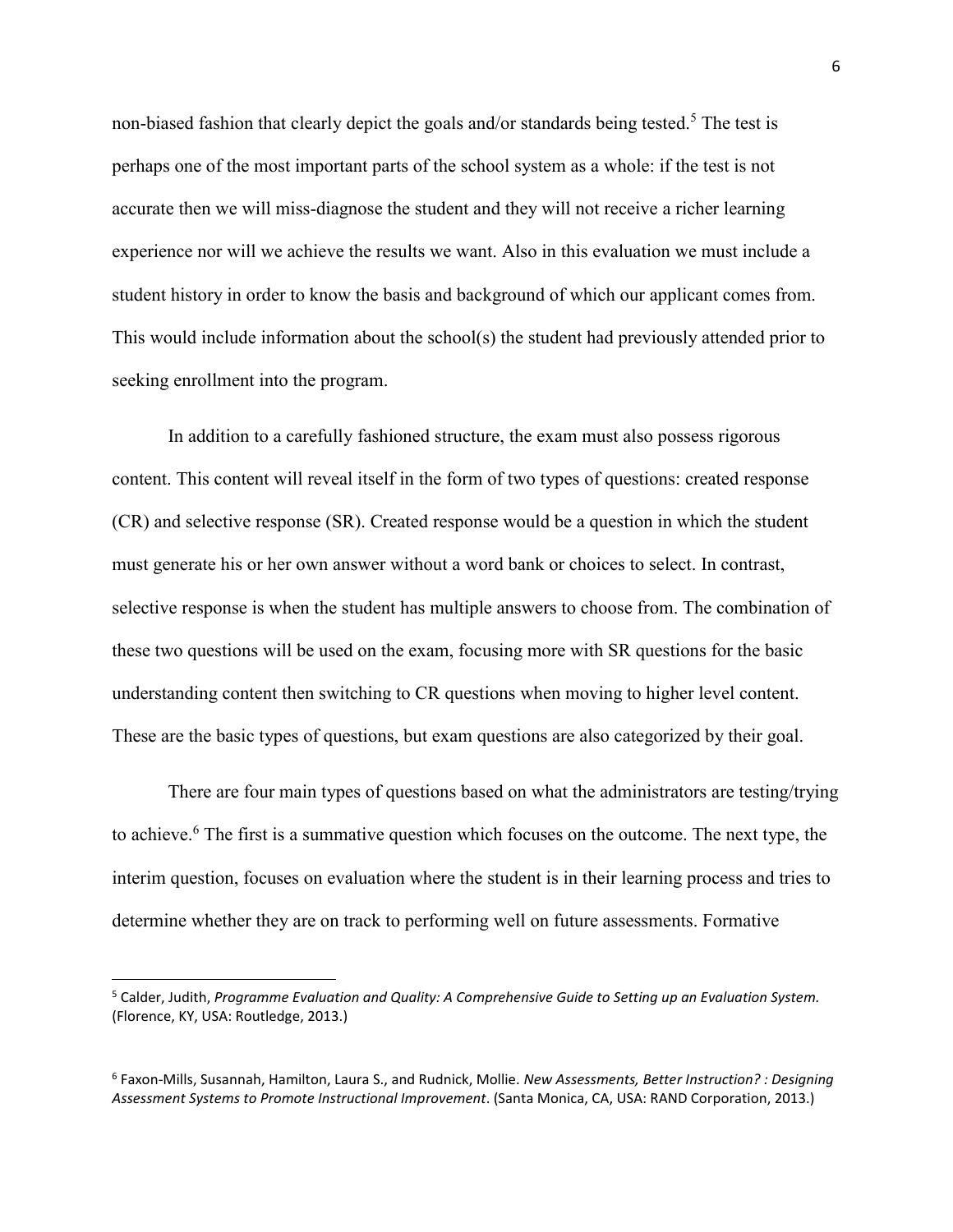non-biased fashion that clearly depict the goals and/or standards being tested.<sup>5</sup> The test is perhaps one of the most important parts of the school system as a whole: if the test is not accurate then we will miss-diagnose the student and they will not receive a richer learning experience nor will we achieve the results we want. Also in this evaluation we must include a student history in order to know the basis and background of which our applicant comes from. This would include information about the school(s) the student had previously attended prior to seeking enrollment into the program.

In addition to a carefully fashioned structure, the exam must also possess rigorous content. This content will reveal itself in the form of two types of questions: created response (CR) and selective response (SR). Created response would be a question in which the student must generate his or her own answer without a word bank or choices to select. In contrast, selective response is when the student has multiple answers to choose from. The combination of these two questions will be used on the exam, focusing more with SR questions for the basic understanding content then switching to CR questions when moving to higher level content. These are the basic types of questions, but exam questions are also categorized by their goal.

There are four main types of questions based on what the administrators are testing/trying to achieve.<sup>6</sup> The first is a summative question which focuses on the outcome. The next type, the interim question, focuses on evaluation where the student is in their learning process and tries to determine whether they are on track to performing well on future assessments. Formative

<sup>5</sup> Calder, Judith, *Programme Evaluation and Quality: A Comprehensive Guide to Setting up an Evaluation System.* (Florence, KY, USA: Routledge, 2013.)

<sup>6</sup> Faxon-Mills, Susannah, Hamilton, Laura S., and Rudnick, Mollie. *New Assessments, Better Instruction? : Designing Assessment Systems to Promote Instructional Improvement*. (Santa Monica, CA, USA: RAND Corporation, 2013.)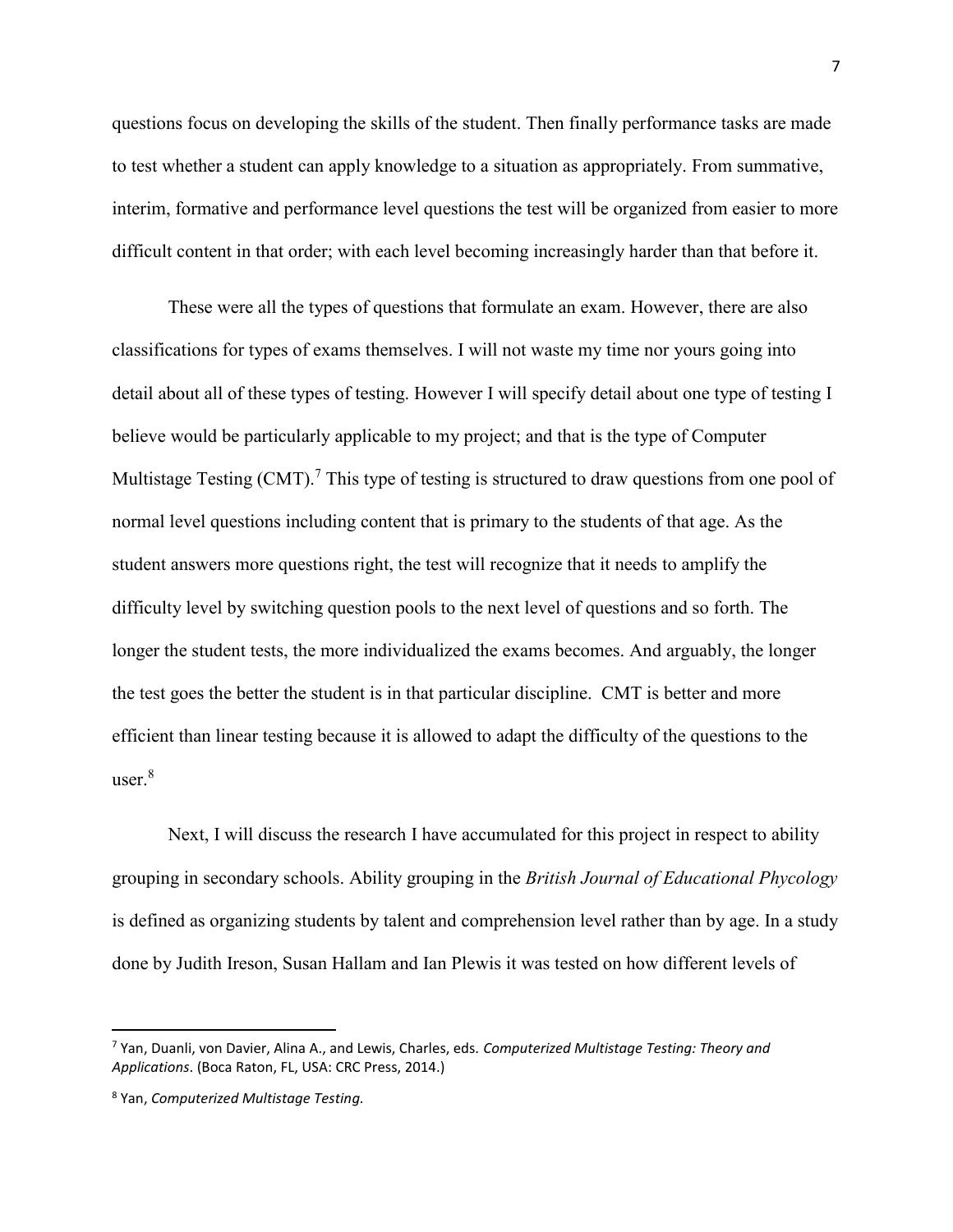questions focus on developing the skills of the student. Then finally performance tasks are made to test whether a student can apply knowledge to a situation as appropriately. From summative, interim, formative and performance level questions the test will be organized from easier to more difficult content in that order; with each level becoming increasingly harder than that before it.

These were all the types of questions that formulate an exam. However, there are also classifications for types of exams themselves. I will not waste my time nor yours going into detail about all of these types of testing. However I will specify detail about one type of testing I believe would be particularly applicable to my project; and that is the type of Computer Multistage Testing  $(CMT)$ .<sup>7</sup> This type of testing is structured to draw questions from one pool of normal level questions including content that is primary to the students of that age. As the student answers more questions right, the test will recognize that it needs to amplify the difficulty level by switching question pools to the next level of questions and so forth. The longer the student tests, the more individualized the exams becomes. And arguably, the longer the test goes the better the student is in that particular discipline. CMT is better and more efficient than linear testing because it is allowed to adapt the difficulty of the questions to the user.<sup>8</sup>

Next, I will discuss the research I have accumulated for this project in respect to ability grouping in secondary schools. Ability grouping in the *British Journal of Educational Phycology* is defined as organizing students by talent and comprehension level rather than by age. In a study done by Judith Ireson, Susan Hallam and Ian Plewis it was tested on how different levels of

 $\overline{a}$ 

<sup>7</sup> Yan, Duanli, von Davier, Alina A., and Lewis, Charles, eds. *Computerized Multistage Testing: Theory and Applications*. (Boca Raton, FL, USA: CRC Press, 2014.)

<sup>8</sup> Yan, *Computerized Multistage Testing.*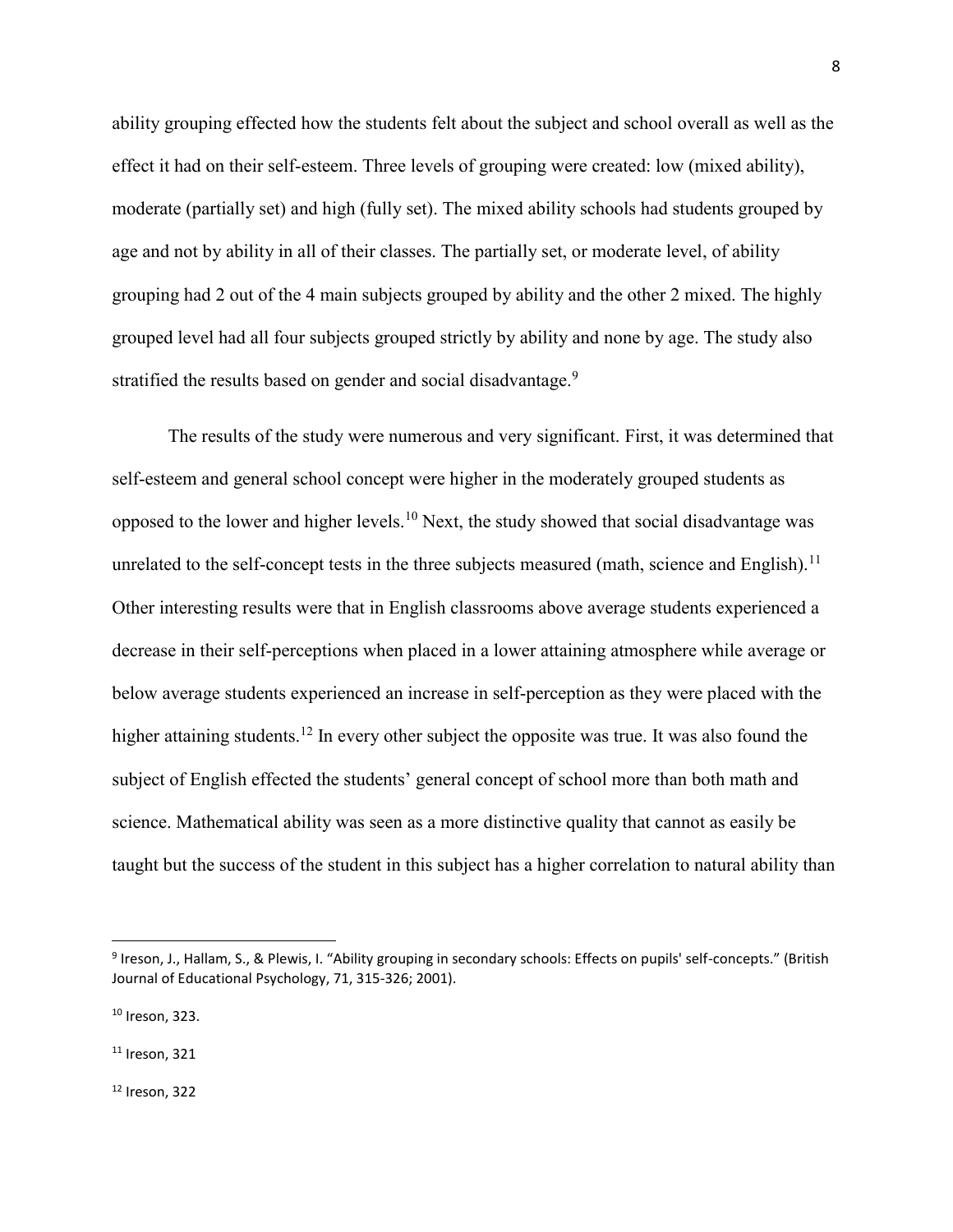ability grouping effected how the students felt about the subject and school overall as well as the effect it had on their self-esteem. Three levels of grouping were created: low (mixed ability), moderate (partially set) and high (fully set). The mixed ability schools had students grouped by age and not by ability in all of their classes. The partially set, or moderate level, of ability grouping had 2 out of the 4 main subjects grouped by ability and the other 2 mixed. The highly grouped level had all four subjects grouped strictly by ability and none by age. The study also stratified the results based on gender and social disadvantage.<sup>9</sup>

The results of the study were numerous and very significant. First, it was determined that self-esteem and general school concept were higher in the moderately grouped students as opposed to the lower and higher levels.<sup>10</sup> Next, the study showed that social disadvantage was unrelated to the self-concept tests in the three subjects measured (math, science and English).<sup>11</sup> Other interesting results were that in English classrooms above average students experienced a decrease in their self-perceptions when placed in a lower attaining atmosphere while average or below average students experienced an increase in self-perception as they were placed with the higher attaining students.<sup>12</sup> In every other subject the opposite was true. It was also found the subject of English effected the students' general concept of school more than both math and science. Mathematical ability was seen as a more distinctive quality that cannot as easily be taught but the success of the student in this subject has a higher correlation to natural ability than

 $\overline{\phantom{a}}$ 

<sup>12</sup> Ireson, 322

<sup>&</sup>lt;sup>9</sup> Ireson, J., Hallam, S., & Plewis, I. "Ability grouping in secondary schools: Effects on pupils' self-concepts." (British Journal of Educational Psychology, 71, 315-326; 2001).

<sup>10</sup> Ireson, 323.

 $11$  Ireson, 321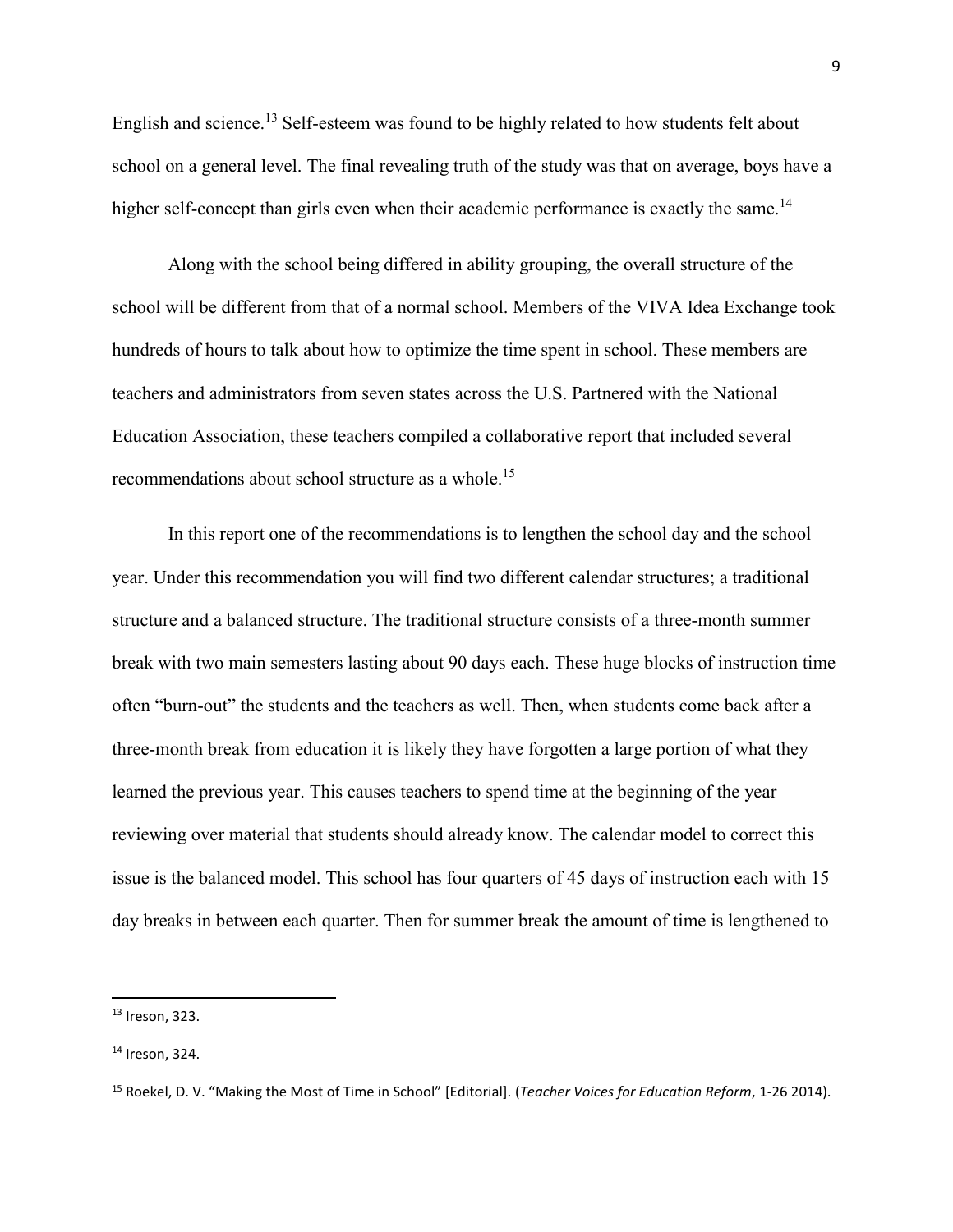English and science.<sup>13</sup> Self-esteem was found to be highly related to how students felt about school on a general level. The final revealing truth of the study was that on average, boys have a higher self-concept than girls even when their academic performance is exactly the same.<sup>14</sup>

Along with the school being differed in ability grouping, the overall structure of the school will be different from that of a normal school. Members of the VIVA Idea Exchange took hundreds of hours to talk about how to optimize the time spent in school. These members are teachers and administrators from seven states across the U.S. Partnered with the National Education Association, these teachers compiled a collaborative report that included several recommendations about school structure as a whole.<sup>15</sup>

In this report one of the recommendations is to lengthen the school day and the school year. Under this recommendation you will find two different calendar structures; a traditional structure and a balanced structure. The traditional structure consists of a three-month summer break with two main semesters lasting about 90 days each. These huge blocks of instruction time often "burn-out" the students and the teachers as well. Then, when students come back after a three-month break from education it is likely they have forgotten a large portion of what they learned the previous year. This causes teachers to spend time at the beginning of the year reviewing over material that students should already know. The calendar model to correct this issue is the balanced model. This school has four quarters of 45 days of instruction each with 15 day breaks in between each quarter. Then for summer break the amount of time is lengthened to

l

<sup>13</sup> Ireson, 323.

<sup>14</sup> Ireson, 324.

<sup>15</sup> Roekel, D. V. "Making the Most of Time in School" [Editorial]. (*Teacher Voices for Education Reform*, 1-26 2014).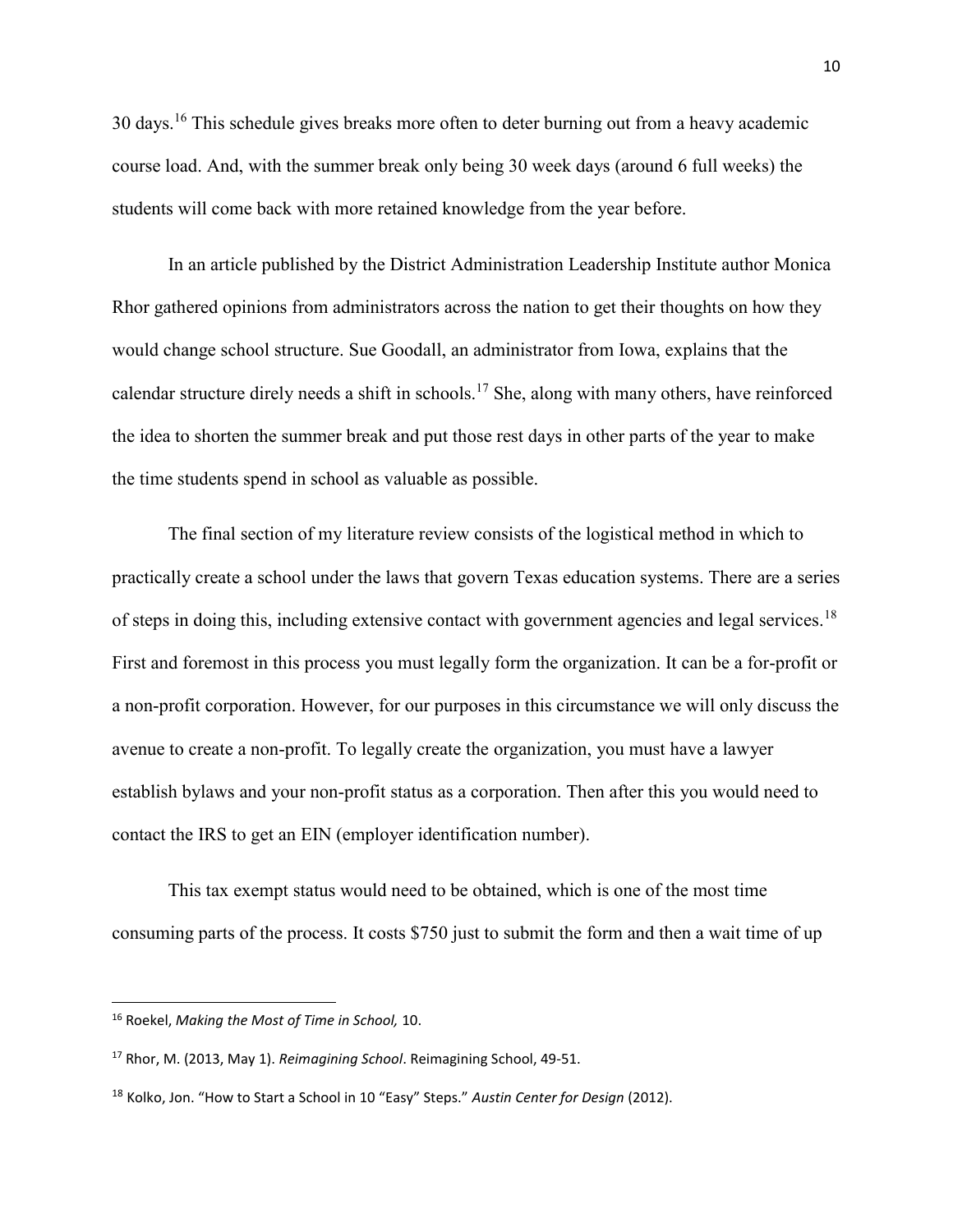30 days.<sup>16</sup> This schedule gives breaks more often to deter burning out from a heavy academic course load. And, with the summer break only being 30 week days (around 6 full weeks) the students will come back with more retained knowledge from the year before.

In an article published by the District Administration Leadership Institute author Monica Rhor gathered opinions from administrators across the nation to get their thoughts on how they would change school structure. Sue Goodall, an administrator from Iowa, explains that the calendar structure direly needs a shift in schools.<sup>17</sup> She, along with many others, have reinforced the idea to shorten the summer break and put those rest days in other parts of the year to make the time students spend in school as valuable as possible.

The final section of my literature review consists of the logistical method in which to practically create a school under the laws that govern Texas education systems. There are a series of steps in doing this, including extensive contact with government agencies and legal services.<sup>18</sup> First and foremost in this process you must legally form the organization. It can be a for-profit or a non-profit corporation. However, for our purposes in this circumstance we will only discuss the avenue to create a non-profit. To legally create the organization, you must have a lawyer establish bylaws and your non-profit status as a corporation. Then after this you would need to contact the IRS to get an EIN (employer identification number).

This tax exempt status would need to be obtained, which is one of the most time consuming parts of the process. It costs \$750 just to submit the form and then a wait time of up

l

<sup>16</sup> Roekel, *Making the Most of Time in School,* 10.

<sup>17</sup> Rhor, M. (2013, May 1). *Reimagining School*. Reimagining School, 49-51.

<sup>18</sup> Kolko, Jon. "How to Start a School in 10 "Easy" Steps." *Austin Center for Design* (2012).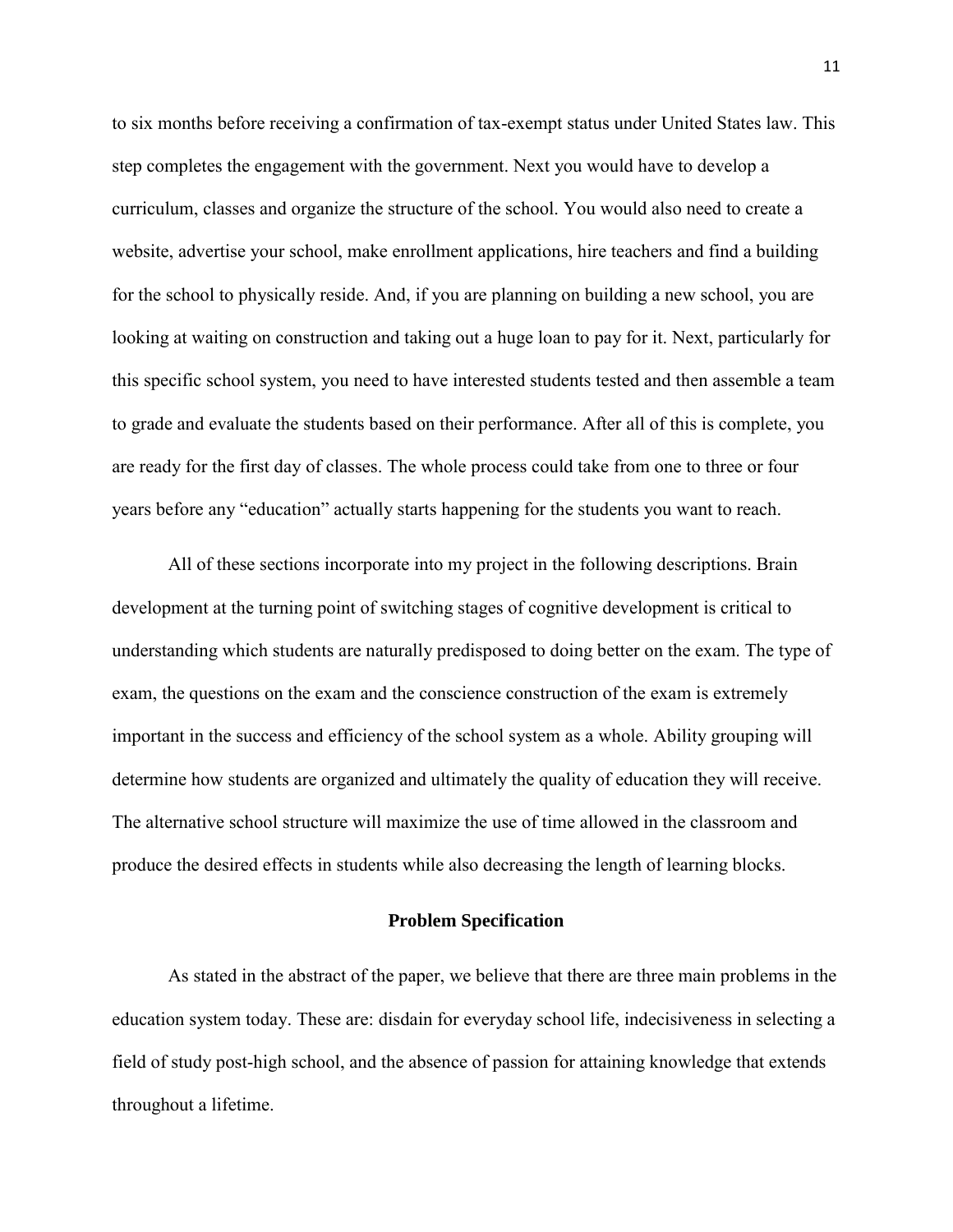to six months before receiving a confirmation of tax-exempt status under United States law. This step completes the engagement with the government. Next you would have to develop a curriculum, classes and organize the structure of the school. You would also need to create a website, advertise your school, make enrollment applications, hire teachers and find a building for the school to physically reside. And, if you are planning on building a new school, you are looking at waiting on construction and taking out a huge loan to pay for it. Next, particularly for this specific school system, you need to have interested students tested and then assemble a team to grade and evaluate the students based on their performance. After all of this is complete, you are ready for the first day of classes. The whole process could take from one to three or four years before any "education" actually starts happening for the students you want to reach.

All of these sections incorporate into my project in the following descriptions. Brain development at the turning point of switching stages of cognitive development is critical to understanding which students are naturally predisposed to doing better on the exam. The type of exam, the questions on the exam and the conscience construction of the exam is extremely important in the success and efficiency of the school system as a whole. Ability grouping will determine how students are organized and ultimately the quality of education they will receive. The alternative school structure will maximize the use of time allowed in the classroom and produce the desired effects in students while also decreasing the length of learning blocks.

#### **Problem Specification**

As stated in the abstract of the paper, we believe that there are three main problems in the education system today. These are: disdain for everyday school life, indecisiveness in selecting a field of study post-high school, and the absence of passion for attaining knowledge that extends throughout a lifetime.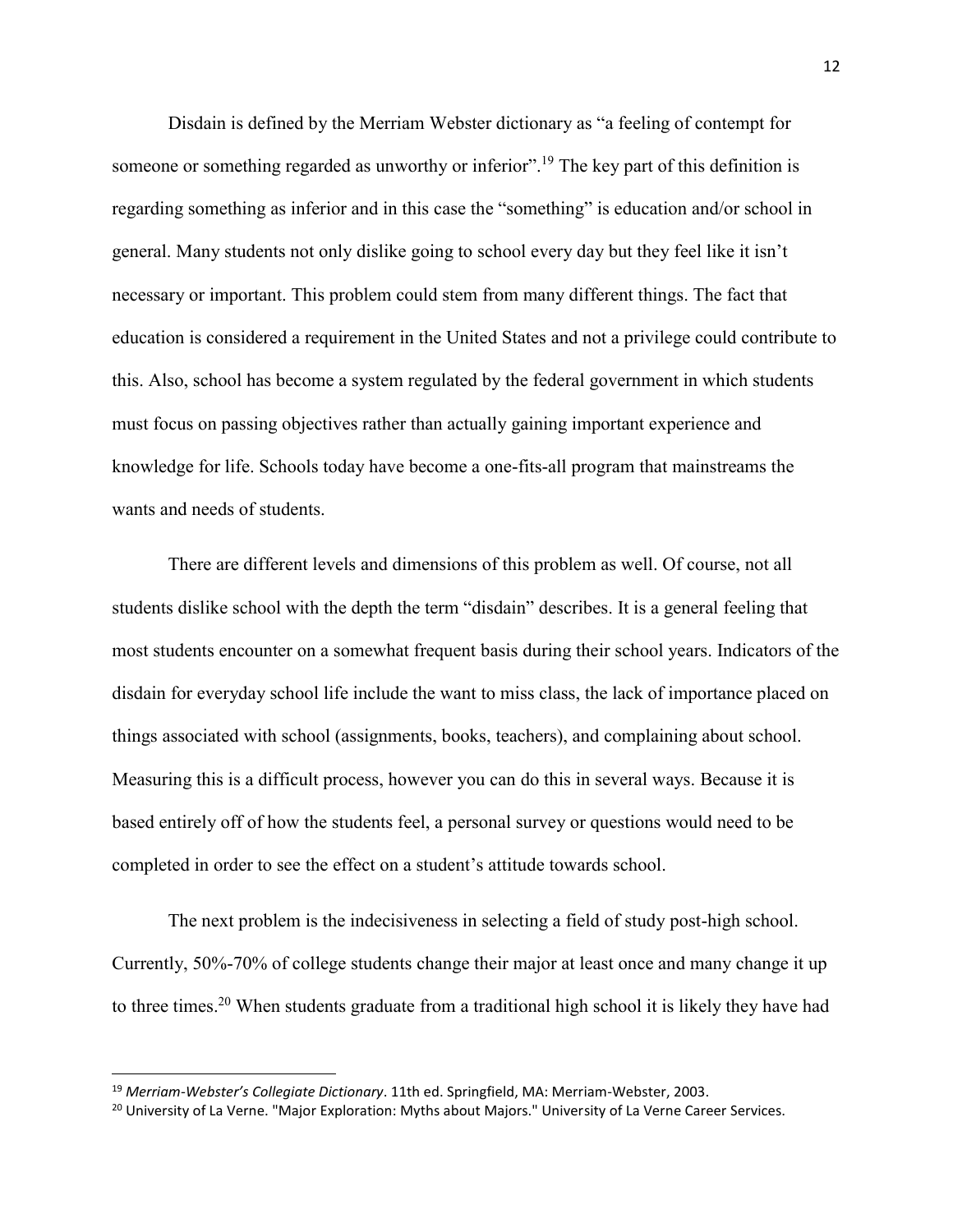Disdain is defined by the Merriam Webster dictionary as "a feeling of contempt for someone or something regarded as unworthy or inferior".<sup>19</sup> The key part of this definition is regarding something as inferior and in this case the "something" is education and/or school in general. Many students not only dislike going to school every day but they feel like it isn't necessary or important. This problem could stem from many different things. The fact that education is considered a requirement in the United States and not a privilege could contribute to this. Also, school has become a system regulated by the federal government in which students must focus on passing objectives rather than actually gaining important experience and knowledge for life. Schools today have become a one-fits-all program that mainstreams the wants and needs of students.

There are different levels and dimensions of this problem as well. Of course, not all students dislike school with the depth the term "disdain" describes. It is a general feeling that most students encounter on a somewhat frequent basis during their school years. Indicators of the disdain for everyday school life include the want to miss class, the lack of importance placed on things associated with school (assignments, books, teachers), and complaining about school. Measuring this is a difficult process, however you can do this in several ways. Because it is based entirely off of how the students feel, a personal survey or questions would need to be completed in order to see the effect on a student's attitude towards school.

The next problem is the indecisiveness in selecting a field of study post-high school. Currently, 50%-70% of college students change their major at least once and many change it up to three times.<sup>20</sup> When students graduate from a traditional high school it is likely they have had

<sup>19</sup> *Merriam-Webster's Collegiate Dictionary*. 11th ed. Springfield, MA: Merriam-Webster, 2003.

<sup>&</sup>lt;sup>20</sup> University of La Verne. "Major Exploration: Myths about Majors." University of La Verne Career Services.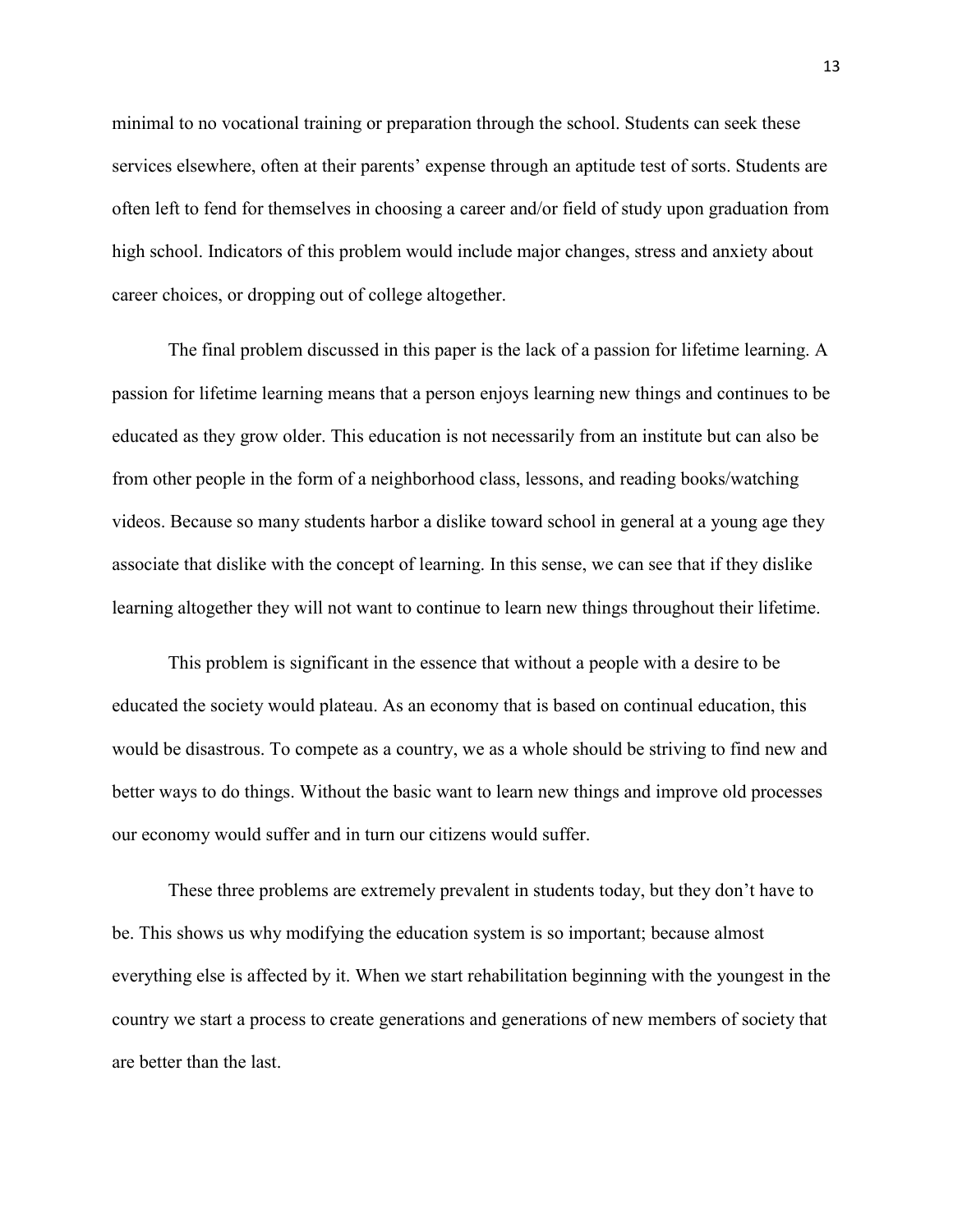minimal to no vocational training or preparation through the school. Students can seek these services elsewhere, often at their parents' expense through an aptitude test of sorts. Students are often left to fend for themselves in choosing a career and/or field of study upon graduation from high school. Indicators of this problem would include major changes, stress and anxiety about career choices, or dropping out of college altogether.

The final problem discussed in this paper is the lack of a passion for lifetime learning. A passion for lifetime learning means that a person enjoys learning new things and continues to be educated as they grow older. This education is not necessarily from an institute but can also be from other people in the form of a neighborhood class, lessons, and reading books/watching videos. Because so many students harbor a dislike toward school in general at a young age they associate that dislike with the concept of learning. In this sense, we can see that if they dislike learning altogether they will not want to continue to learn new things throughout their lifetime.

This problem is significant in the essence that without a people with a desire to be educated the society would plateau. As an economy that is based on continual education, this would be disastrous. To compete as a country, we as a whole should be striving to find new and better ways to do things. Without the basic want to learn new things and improve old processes our economy would suffer and in turn our citizens would suffer.

These three problems are extremely prevalent in students today, but they don't have to be. This shows us why modifying the education system is so important; because almost everything else is affected by it. When we start rehabilitation beginning with the youngest in the country we start a process to create generations and generations of new members of society that are better than the last.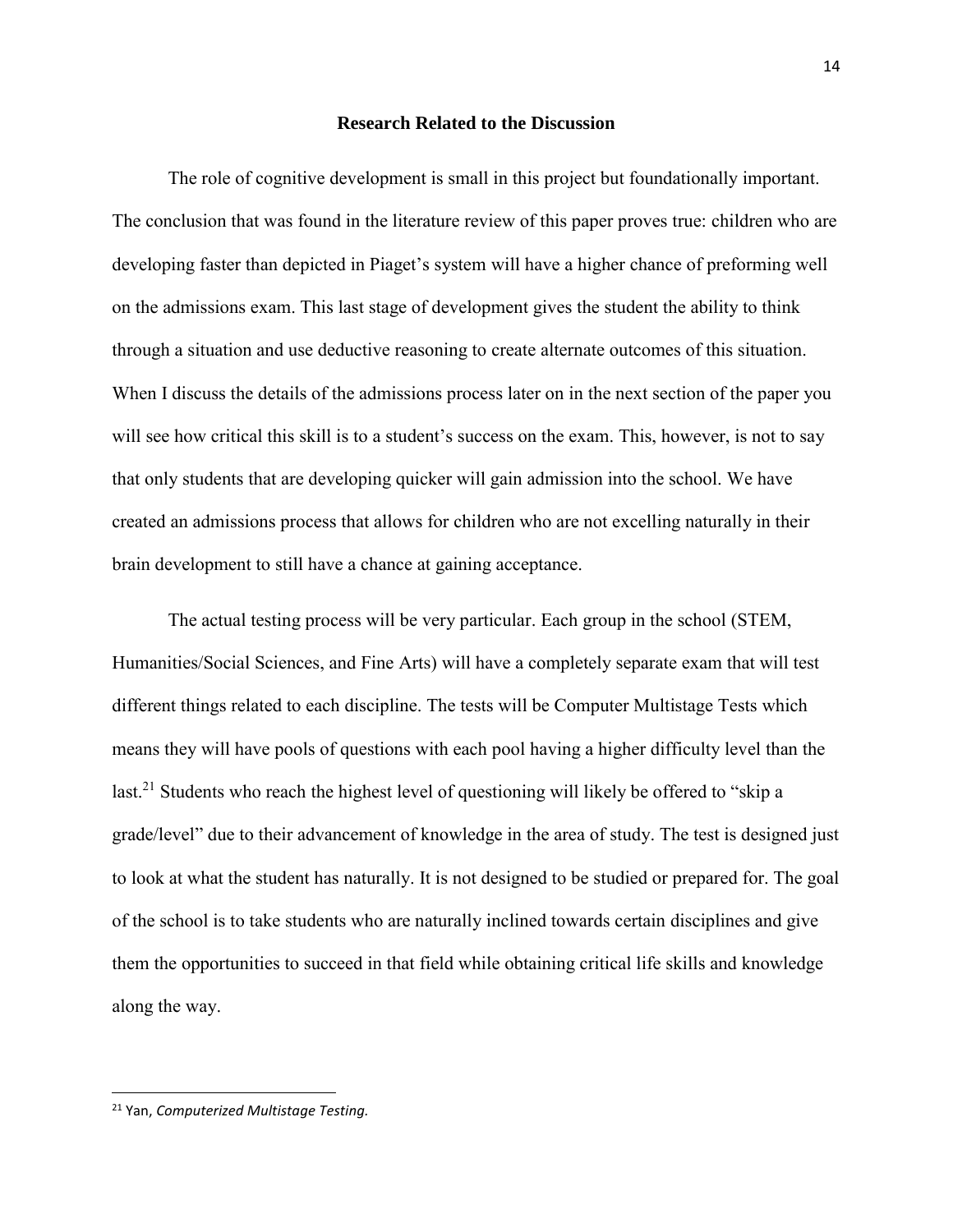#### **Research Related to the Discussion**

The role of cognitive development is small in this project but foundationally important. The conclusion that was found in the literature review of this paper proves true: children who are developing faster than depicted in Piaget's system will have a higher chance of preforming well on the admissions exam. This last stage of development gives the student the ability to think through a situation and use deductive reasoning to create alternate outcomes of this situation. When I discuss the details of the admissions process later on in the next section of the paper you will see how critical this skill is to a student's success on the exam. This, however, is not to say that only students that are developing quicker will gain admission into the school. We have created an admissions process that allows for children who are not excelling naturally in their brain development to still have a chance at gaining acceptance.

The actual testing process will be very particular. Each group in the school (STEM, Humanities/Social Sciences, and Fine Arts) will have a completely separate exam that will test different things related to each discipline. The tests will be Computer Multistage Tests which means they will have pools of questions with each pool having a higher difficulty level than the last.<sup>21</sup> Students who reach the highest level of questioning will likely be offered to "skip a grade/level" due to their advancement of knowledge in the area of study. The test is designed just to look at what the student has naturally. It is not designed to be studied or prepared for. The goal of the school is to take students who are naturally inclined towards certain disciplines and give them the opportunities to succeed in that field while obtaining critical life skills and knowledge along the way.

<sup>21</sup> Yan, *Computerized Multistage Testing.*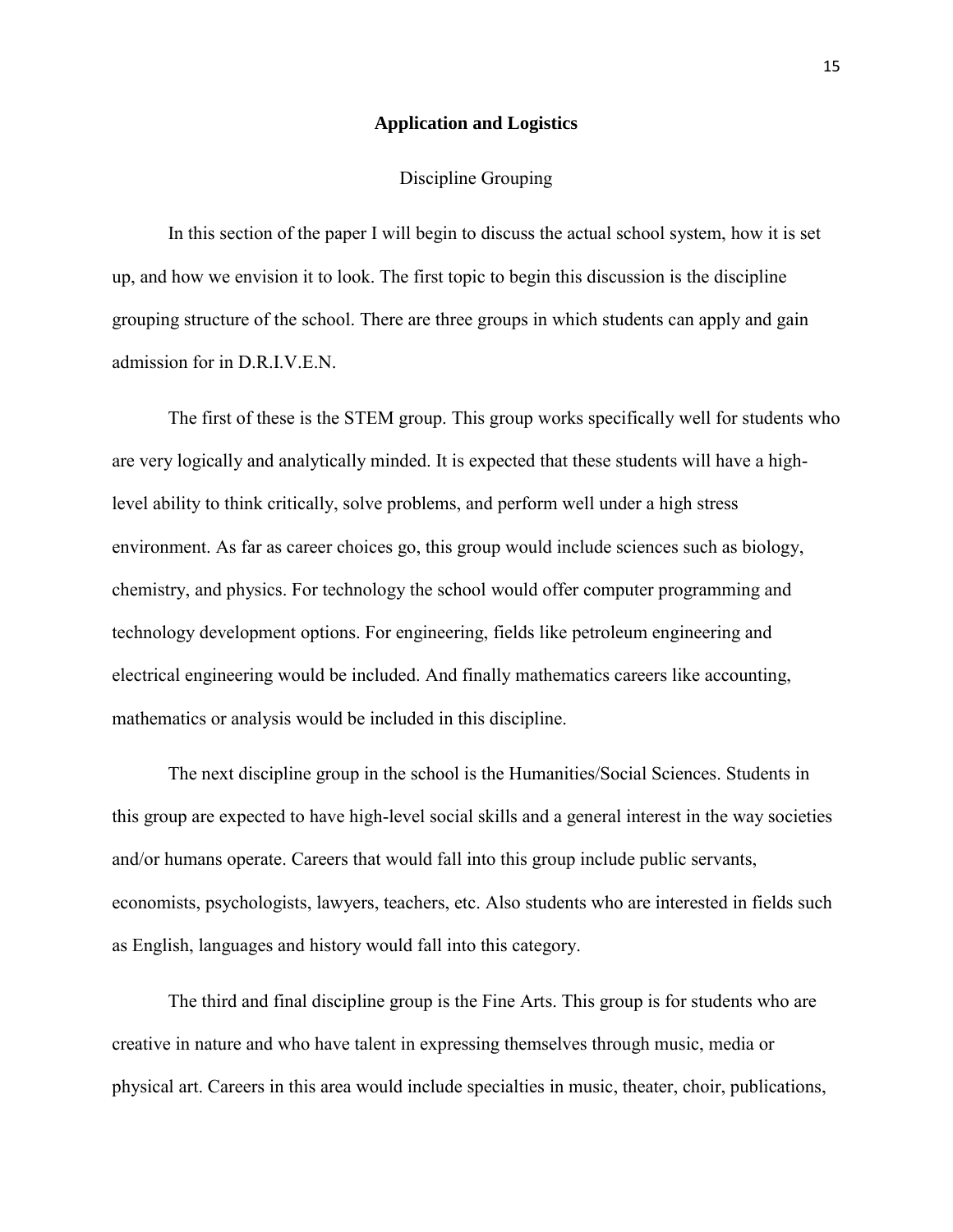# **Application and Logistics**

### Discipline Grouping

In this section of the paper I will begin to discuss the actual school system, how it is set up, and how we envision it to look. The first topic to begin this discussion is the discipline grouping structure of the school. There are three groups in which students can apply and gain admission for in D.R.I.V.E.N.

The first of these is the STEM group. This group works specifically well for students who are very logically and analytically minded. It is expected that these students will have a highlevel ability to think critically, solve problems, and perform well under a high stress environment. As far as career choices go, this group would include sciences such as biology, chemistry, and physics. For technology the school would offer computer programming and technology development options. For engineering, fields like petroleum engineering and electrical engineering would be included. And finally mathematics careers like accounting, mathematics or analysis would be included in this discipline.

The next discipline group in the school is the Humanities/Social Sciences. Students in this group are expected to have high-level social skills and a general interest in the way societies and/or humans operate. Careers that would fall into this group include public servants, economists, psychologists, lawyers, teachers, etc. Also students who are interested in fields such as English, languages and history would fall into this category.

The third and final discipline group is the Fine Arts. This group is for students who are creative in nature and who have talent in expressing themselves through music, media or physical art. Careers in this area would include specialties in music, theater, choir, publications,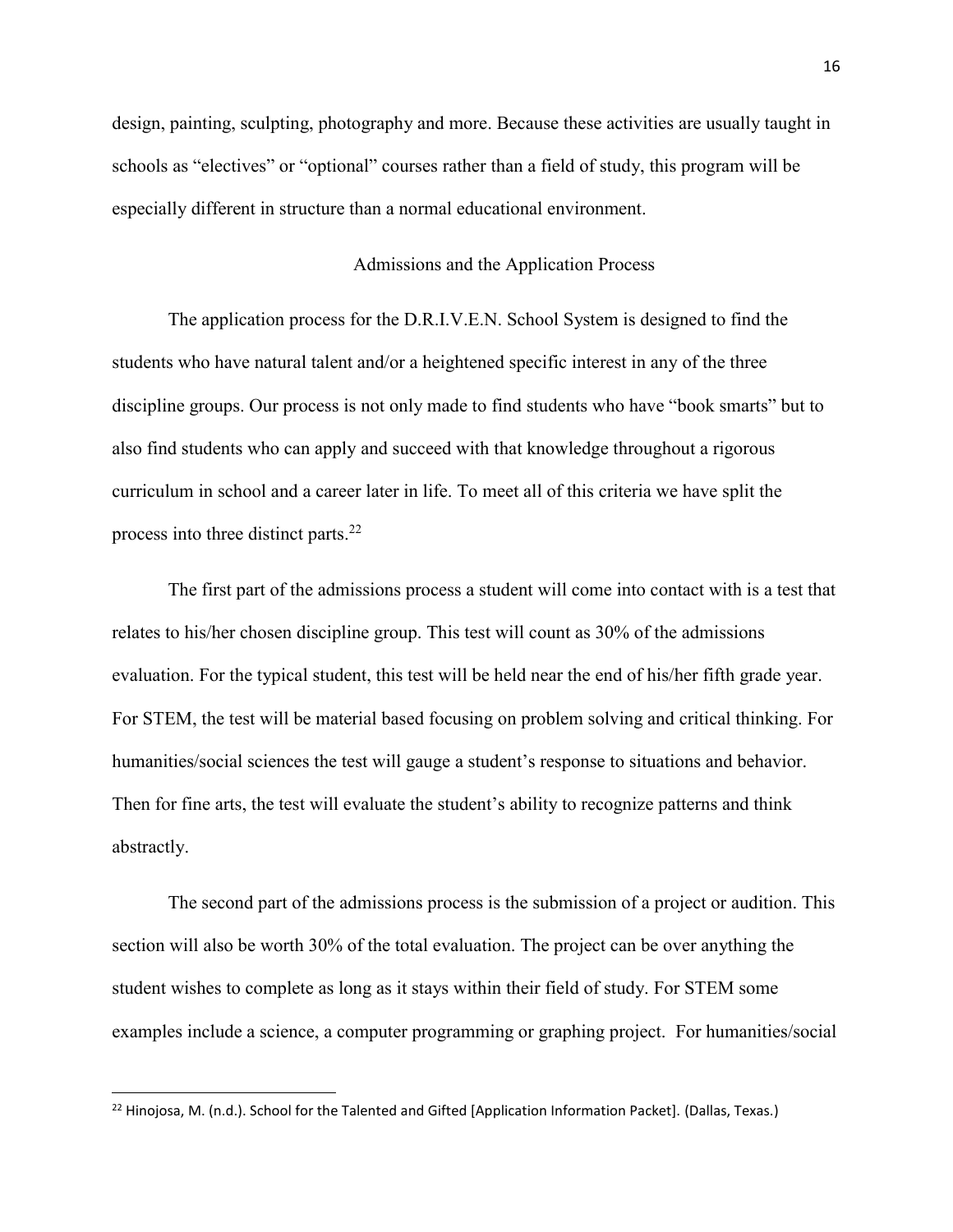design, painting, sculpting, photography and more. Because these activities are usually taught in schools as "electives" or "optional" courses rather than a field of study, this program will be especially different in structure than a normal educational environment.

# Admissions and the Application Process

The application process for the D.R.I.V.E.N. School System is designed to find the students who have natural talent and/or a heightened specific interest in any of the three discipline groups. Our process is not only made to find students who have "book smarts" but to also find students who can apply and succeed with that knowledge throughout a rigorous curriculum in school and a career later in life. To meet all of this criteria we have split the process into three distinct parts.<sup>22</sup>

The first part of the admissions process a student will come into contact with is a test that relates to his/her chosen discipline group. This test will count as 30% of the admissions evaluation. For the typical student, this test will be held near the end of his/her fifth grade year. For STEM, the test will be material based focusing on problem solving and critical thinking. For humanities/social sciences the test will gauge a student's response to situations and behavior. Then for fine arts, the test will evaluate the student's ability to recognize patterns and think abstractly.

The second part of the admissions process is the submission of a project or audition. This section will also be worth 30% of the total evaluation. The project can be over anything the student wishes to complete as long as it stays within their field of study. For STEM some examples include a science, a computer programming or graphing project. For humanities/social

<sup>&</sup>lt;sup>22</sup> Hinojosa, M. (n.d.). School for the Talented and Gifted [Application Information Packet]. (Dallas, Texas.)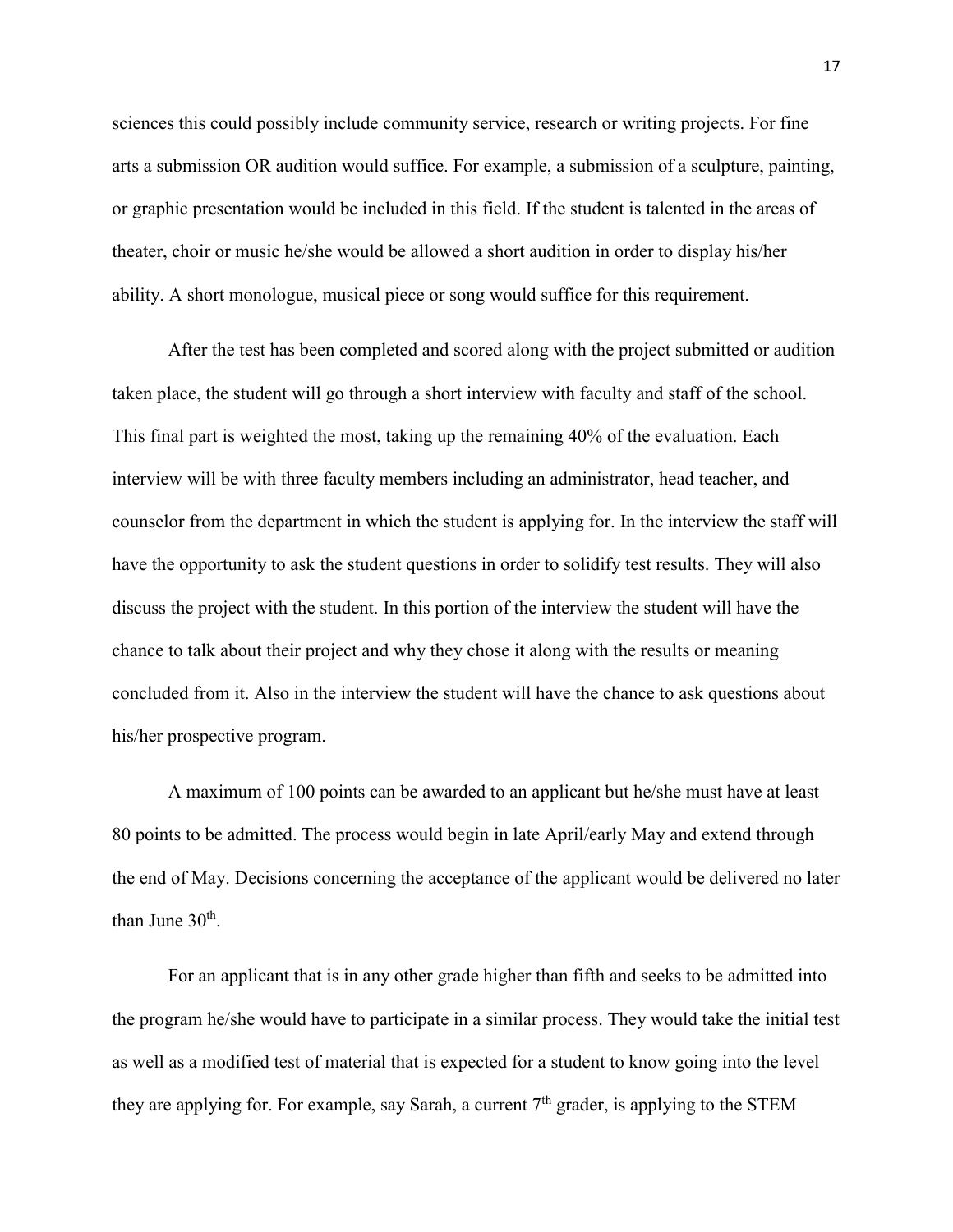sciences this could possibly include community service, research or writing projects. For fine arts a submission OR audition would suffice. For example, a submission of a sculpture, painting, or graphic presentation would be included in this field. If the student is talented in the areas of theater, choir or music he/she would be allowed a short audition in order to display his/her ability. A short monologue, musical piece or song would suffice for this requirement.

After the test has been completed and scored along with the project submitted or audition taken place, the student will go through a short interview with faculty and staff of the school. This final part is weighted the most, taking up the remaining 40% of the evaluation. Each interview will be with three faculty members including an administrator, head teacher, and counselor from the department in which the student is applying for. In the interview the staff will have the opportunity to ask the student questions in order to solidify test results. They will also discuss the project with the student. In this portion of the interview the student will have the chance to talk about their project and why they chose it along with the results or meaning concluded from it. Also in the interview the student will have the chance to ask questions about his/her prospective program.

A maximum of 100 points can be awarded to an applicant but he/she must have at least 80 points to be admitted. The process would begin in late April/early May and extend through the end of May. Decisions concerning the acceptance of the applicant would be delivered no later than June  $30^{\text{th}}$ .

For an applicant that is in any other grade higher than fifth and seeks to be admitted into the program he/she would have to participate in a similar process. They would take the initial test as well as a modified test of material that is expected for a student to know going into the level they are applying for. For example, say Sarah, a current  $7<sup>th</sup>$  grader, is applying to the STEM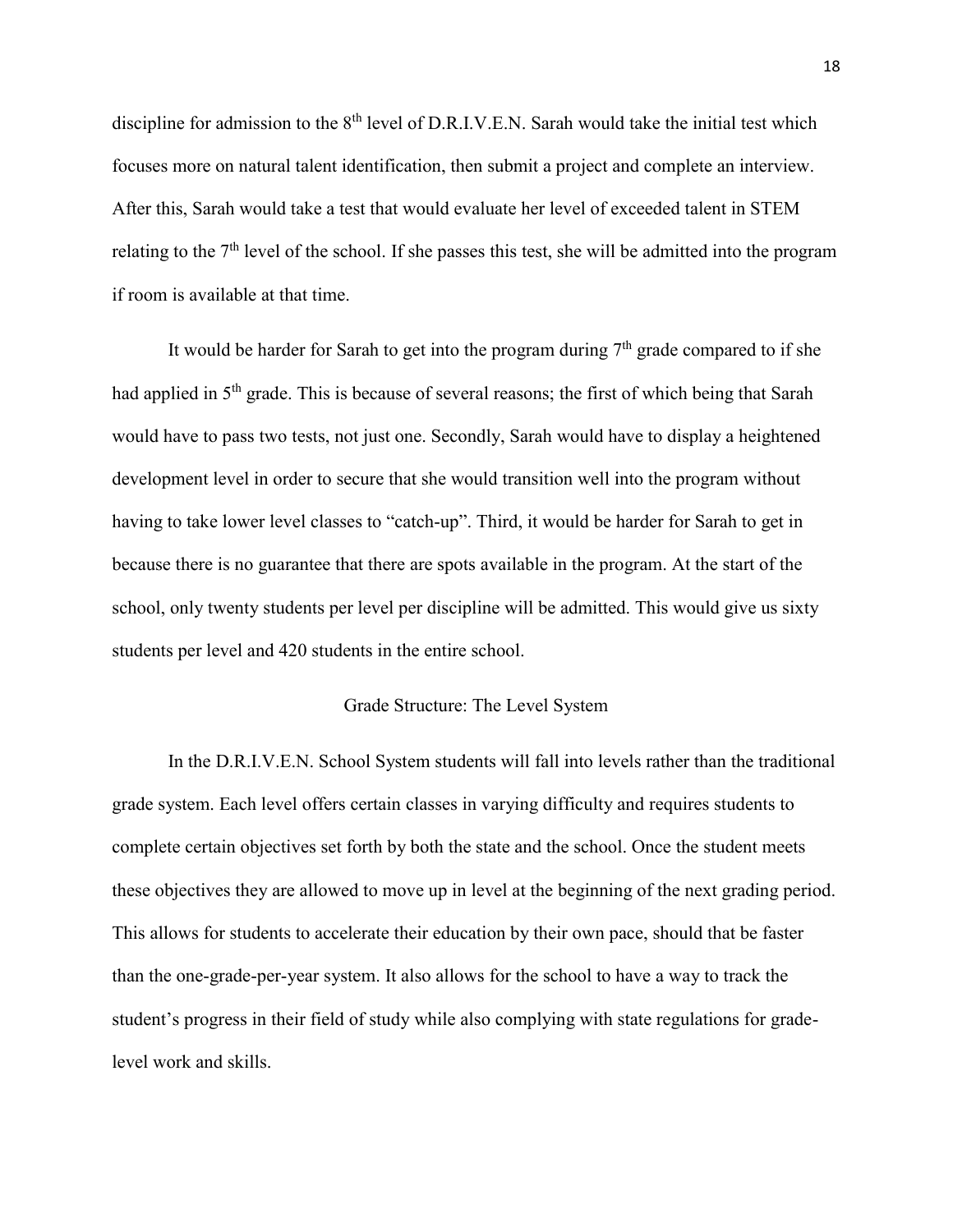discipline for admission to the 8<sup>th</sup> level of D.R.I.V.E.N. Sarah would take the initial test which focuses more on natural talent identification, then submit a project and complete an interview. After this, Sarah would take a test that would evaluate her level of exceeded talent in STEM relating to the 7th level of the school. If she passes this test, she will be admitted into the program if room is available at that time.

It would be harder for Sarah to get into the program during  $7<sup>th</sup>$  grade compared to if she had applied in 5<sup>th</sup> grade. This is because of several reasons; the first of which being that Sarah would have to pass two tests, not just one. Secondly, Sarah would have to display a heightened development level in order to secure that she would transition well into the program without having to take lower level classes to "catch-up". Third, it would be harder for Sarah to get in because there is no guarantee that there are spots available in the program. At the start of the school, only twenty students per level per discipline will be admitted. This would give us sixty students per level and 420 students in the entire school.

### Grade Structure: The Level System

In the D.R.I.V.E.N. School System students will fall into levels rather than the traditional grade system. Each level offers certain classes in varying difficulty and requires students to complete certain objectives set forth by both the state and the school. Once the student meets these objectives they are allowed to move up in level at the beginning of the next grading period. This allows for students to accelerate their education by their own pace, should that be faster than the one-grade-per-year system. It also allows for the school to have a way to track the student's progress in their field of study while also complying with state regulations for gradelevel work and skills.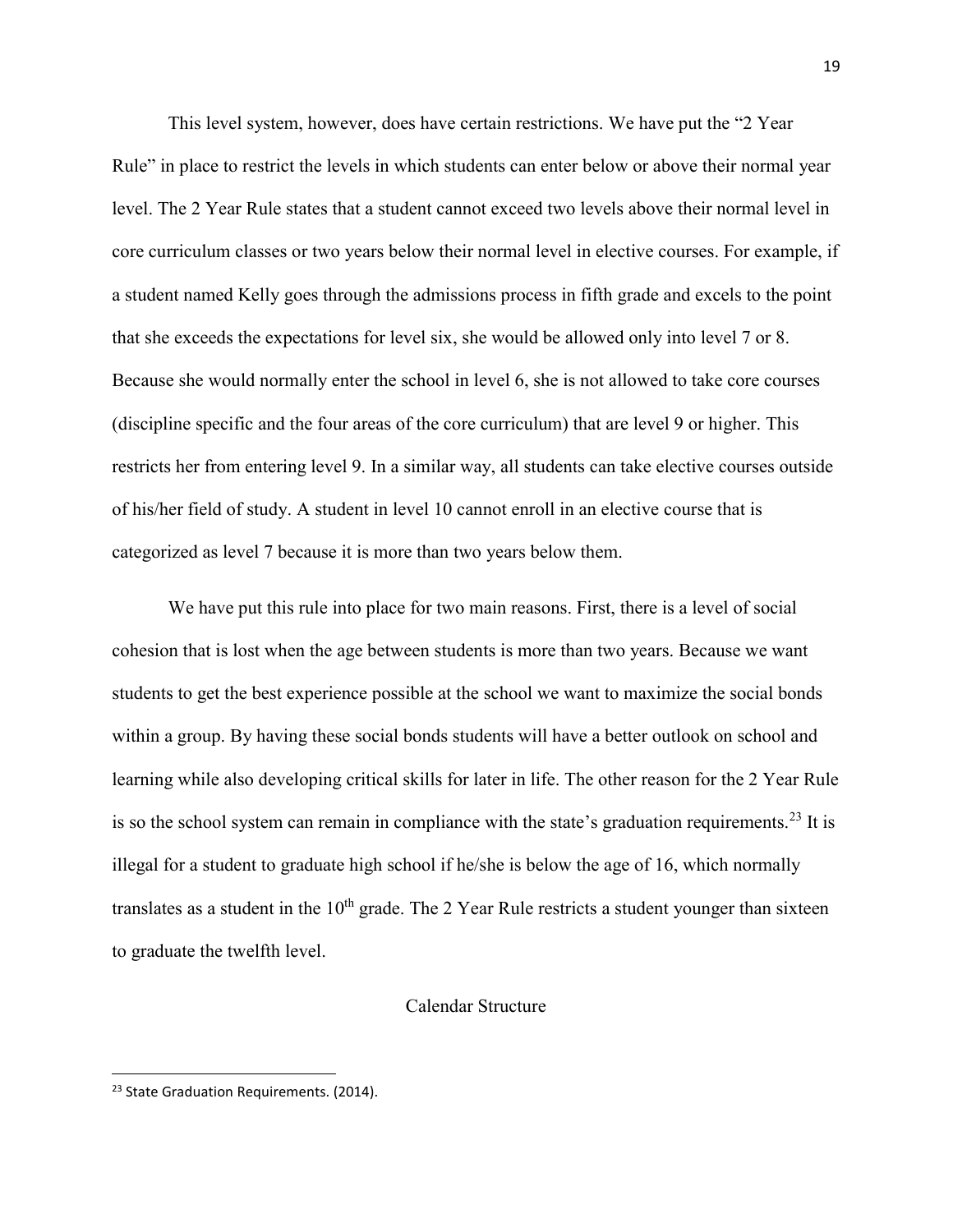This level system, however, does have certain restrictions. We have put the "2 Year Rule" in place to restrict the levels in which students can enter below or above their normal year level. The 2 Year Rule states that a student cannot exceed two levels above their normal level in core curriculum classes or two years below their normal level in elective courses. For example, if a student named Kelly goes through the admissions process in fifth grade and excels to the point that she exceeds the expectations for level six, she would be allowed only into level 7 or 8. Because she would normally enter the school in level 6, she is not allowed to take core courses (discipline specific and the four areas of the core curriculum) that are level 9 or higher. This restricts her from entering level 9. In a similar way, all students can take elective courses outside of his/her field of study. A student in level 10 cannot enroll in an elective course that is categorized as level 7 because it is more than two years below them.

We have put this rule into place for two main reasons. First, there is a level of social cohesion that is lost when the age between students is more than two years. Because we want students to get the best experience possible at the school we want to maximize the social bonds within a group. By having these social bonds students will have a better outlook on school and learning while also developing critical skills for later in life. The other reason for the 2 Year Rule is so the school system can remain in compliance with the state's graduation requirements.<sup>23</sup> It is illegal for a student to graduate high school if he/she is below the age of 16, which normally translates as a student in the  $10<sup>th</sup>$  grade. The 2 Year Rule restricts a student younger than sixteen to graduate the twelfth level.

#### Calendar Structure

<sup>&</sup>lt;sup>23</sup> State Graduation Requirements. (2014).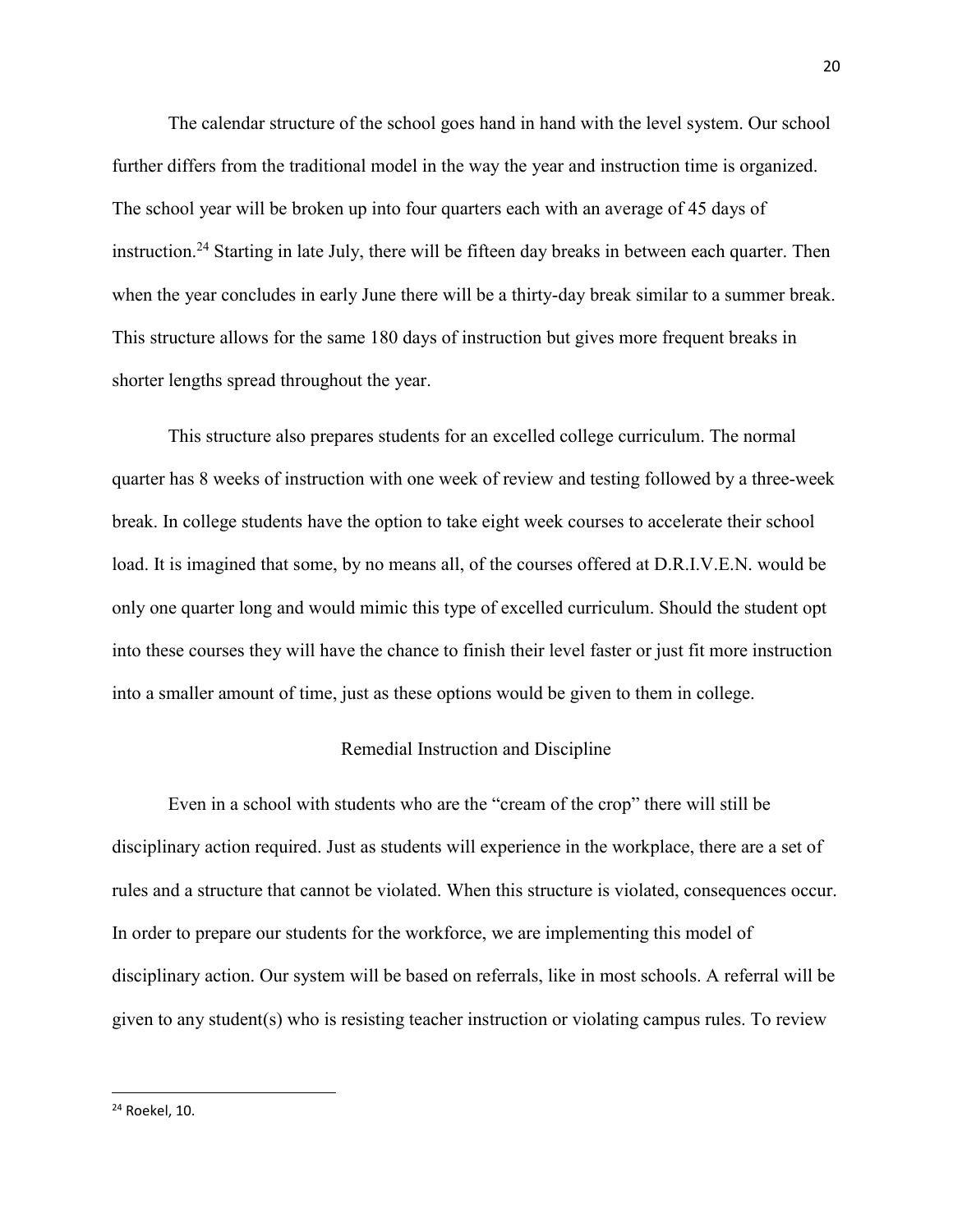The calendar structure of the school goes hand in hand with the level system. Our school further differs from the traditional model in the way the year and instruction time is organized. The school year will be broken up into four quarters each with an average of 45 days of instruction.<sup>24</sup> Starting in late July, there will be fifteen day breaks in between each quarter. Then when the year concludes in early June there will be a thirty-day break similar to a summer break. This structure allows for the same 180 days of instruction but gives more frequent breaks in shorter lengths spread throughout the year.

This structure also prepares students for an excelled college curriculum. The normal quarter has 8 weeks of instruction with one week of review and testing followed by a three-week break. In college students have the option to take eight week courses to accelerate their school load. It is imagined that some, by no means all, of the courses offered at D.R.I.V.E.N. would be only one quarter long and would mimic this type of excelled curriculum. Should the student opt into these courses they will have the chance to finish their level faster or just fit more instruction into a smaller amount of time, just as these options would be given to them in college.

# Remedial Instruction and Discipline

Even in a school with students who are the "cream of the crop" there will still be disciplinary action required. Just as students will experience in the workplace, there are a set of rules and a structure that cannot be violated. When this structure is violated, consequences occur. In order to prepare our students for the workforce, we are implementing this model of disciplinary action. Our system will be based on referrals, like in most schools. A referral will be given to any student(s) who is resisting teacher instruction or violating campus rules. To review

<sup>24</sup> Roekel, 10.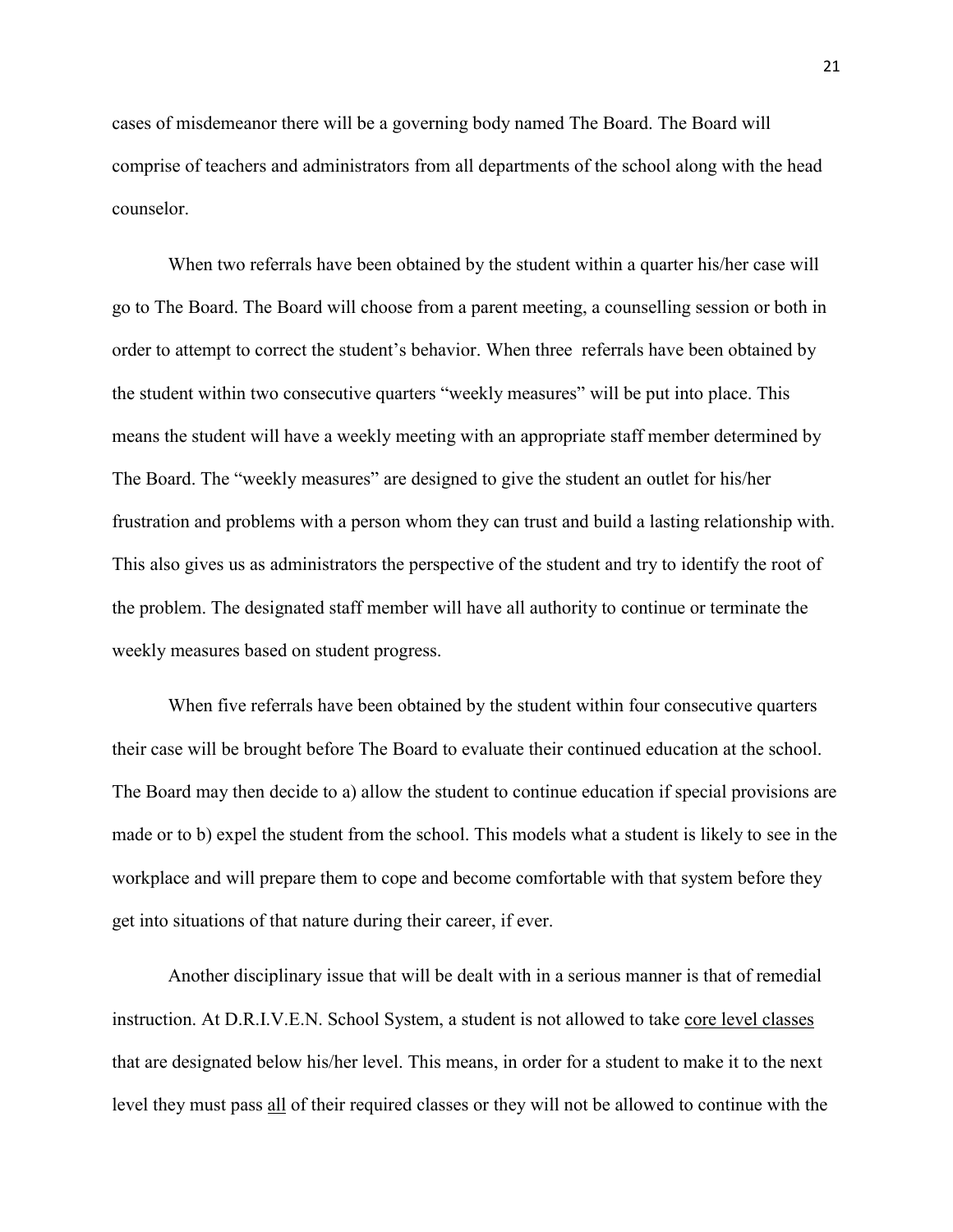cases of misdemeanor there will be a governing body named The Board. The Board will comprise of teachers and administrators from all departments of the school along with the head counselor.

When two referrals have been obtained by the student within a quarter his/her case will go to The Board. The Board will choose from a parent meeting, a counselling session or both in order to attempt to correct the student's behavior. When three referrals have been obtained by the student within two consecutive quarters "weekly measures" will be put into place. This means the student will have a weekly meeting with an appropriate staff member determined by The Board. The "weekly measures" are designed to give the student an outlet for his/her frustration and problems with a person whom they can trust and build a lasting relationship with. This also gives us as administrators the perspective of the student and try to identify the root of the problem. The designated staff member will have all authority to continue or terminate the weekly measures based on student progress.

When five referrals have been obtained by the student within four consecutive quarters their case will be brought before The Board to evaluate their continued education at the school. The Board may then decide to a) allow the student to continue education if special provisions are made or to b) expel the student from the school. This models what a student is likely to see in the workplace and will prepare them to cope and become comfortable with that system before they get into situations of that nature during their career, if ever.

Another disciplinary issue that will be dealt with in a serious manner is that of remedial instruction. At D.R.I.V.E.N. School System, a student is not allowed to take core level classes that are designated below his/her level. This means, in order for a student to make it to the next level they must pass all of their required classes or they will not be allowed to continue with the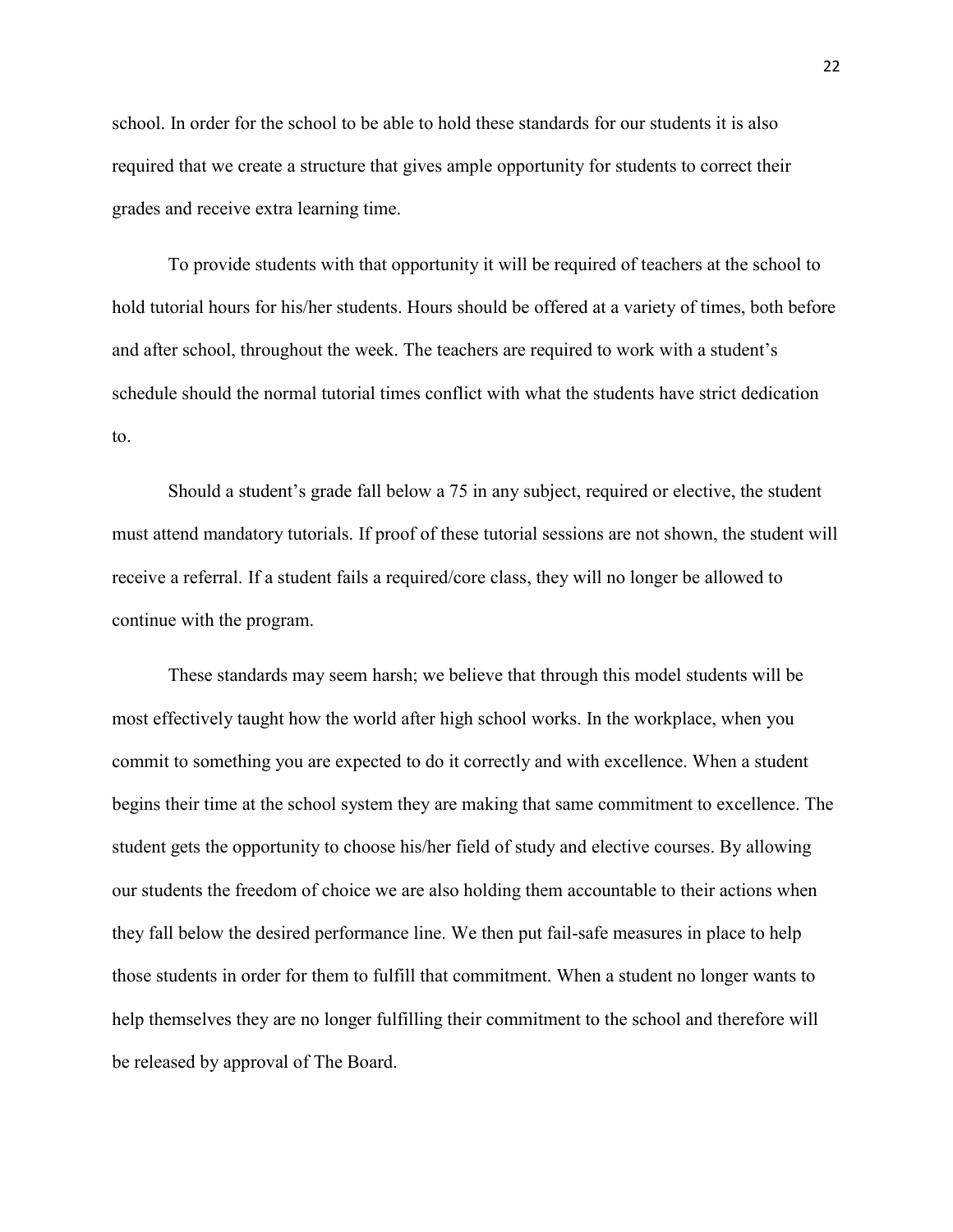school. In order for the school to be able to hold these standards for our students it is also required that we create a structure that gives ample opportunity for students to correct their grades and receive extra learning time.

To provide students with that opportunity it will be required of teachers at the school to hold tutorial hours for his/her students. Hours should be offered at a variety of times, both before and after school, throughout the week. The teachers are required to work with a student's schedule should the normal tutorial times conflict with what the students have strict dedication to.

Should a student's grade fall below a 75 in any subject, required or elective, the student must attend mandatory tutorials. If proof of these tutorial sessions are not shown, the student will receive a referral. If a student fails a required/core class, they will no longer be allowed to continue with the program.

These standards may seem harsh; we believe that through this model students will be most effectively taught how the world after high school works. In the workplace, when you commit to something you are expected to do it correctly and with excellence. When a student begins their time at the school system they are making that same commitment to excellence. The student gets the opportunity to choose his/her field of study and elective courses. By allowing our students the freedom of choice we are also holding them accountable to their actions when they fall below the desired performance line. We then put fail-safe measures in place to help those students in order for them to fulfill that commitment. When a student no longer wants to help themselves they are no longer fulfilling their commitment to the school and therefore will be released by approval of The Board.

22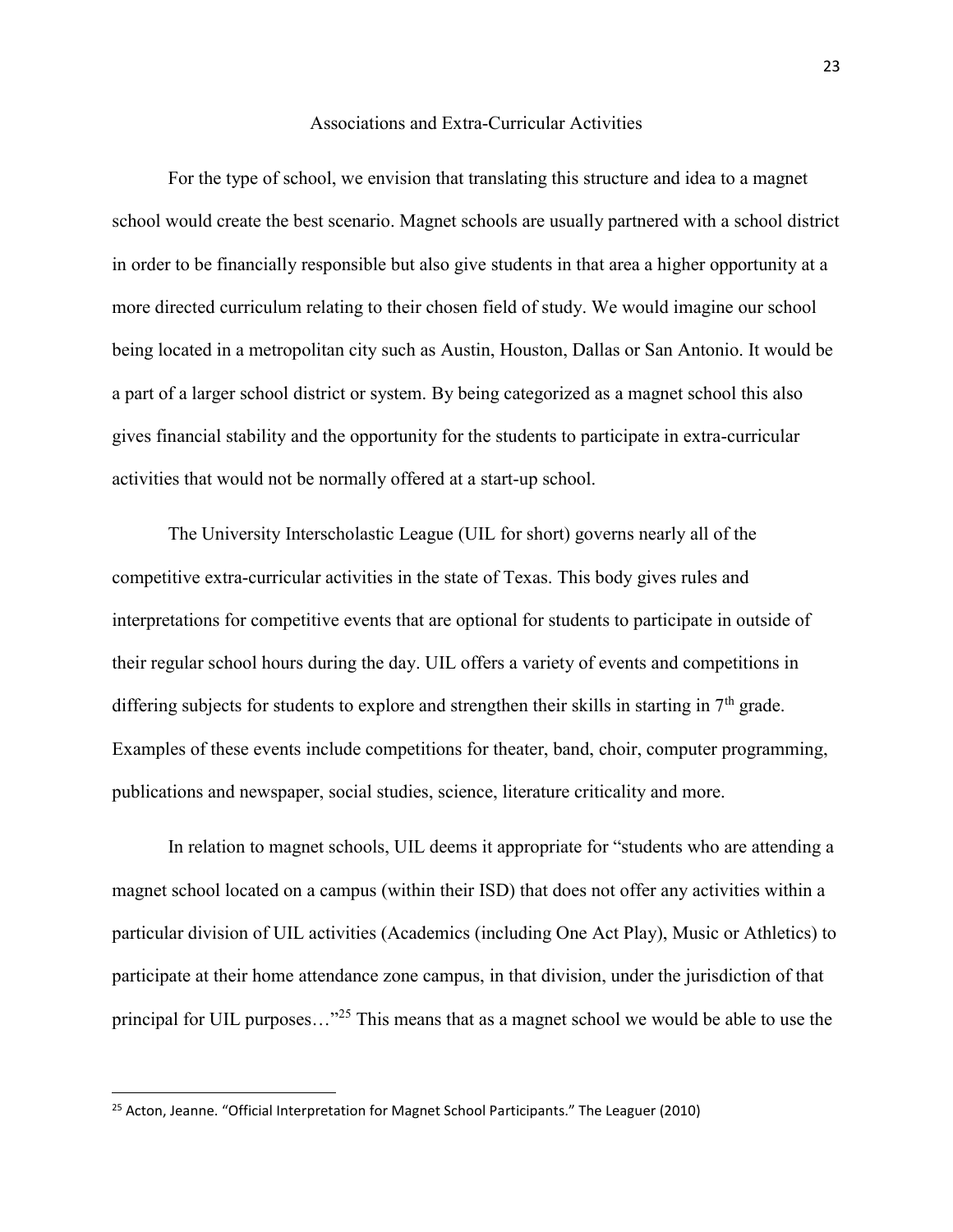### Associations and Extra-Curricular Activities

For the type of school, we envision that translating this structure and idea to a magnet school would create the best scenario. Magnet schools are usually partnered with a school district in order to be financially responsible but also give students in that area a higher opportunity at a more directed curriculum relating to their chosen field of study. We would imagine our school being located in a metropolitan city such as Austin, Houston, Dallas or San Antonio. It would be a part of a larger school district or system. By being categorized as a magnet school this also gives financial stability and the opportunity for the students to participate in extra-curricular activities that would not be normally offered at a start-up school.

The University Interscholastic League (UIL for short) governs nearly all of the competitive extra-curricular activities in the state of Texas. This body gives rules and interpretations for competitive events that are optional for students to participate in outside of their regular school hours during the day. UIL offers a variety of events and competitions in differing subjects for students to explore and strengthen their skills in starting in 7<sup>th</sup> grade. Examples of these events include competitions for theater, band, choir, computer programming, publications and newspaper, social studies, science, literature criticality and more.

In relation to magnet schools, UIL deems it appropriate for "students who are attending a magnet school located on a campus (within their ISD) that does not offer any activities within a particular division of UIL activities (Academics (including One Act Play), Music or Athletics) to participate at their home attendance zone campus, in that division, under the jurisdiction of that principal for UIL purposes..."<sup>25</sup> This means that as a magnet school we would be able to use the

<sup>&</sup>lt;sup>25</sup> Acton, Jeanne. "Official Interpretation for Magnet School Participants." The Leaguer (2010)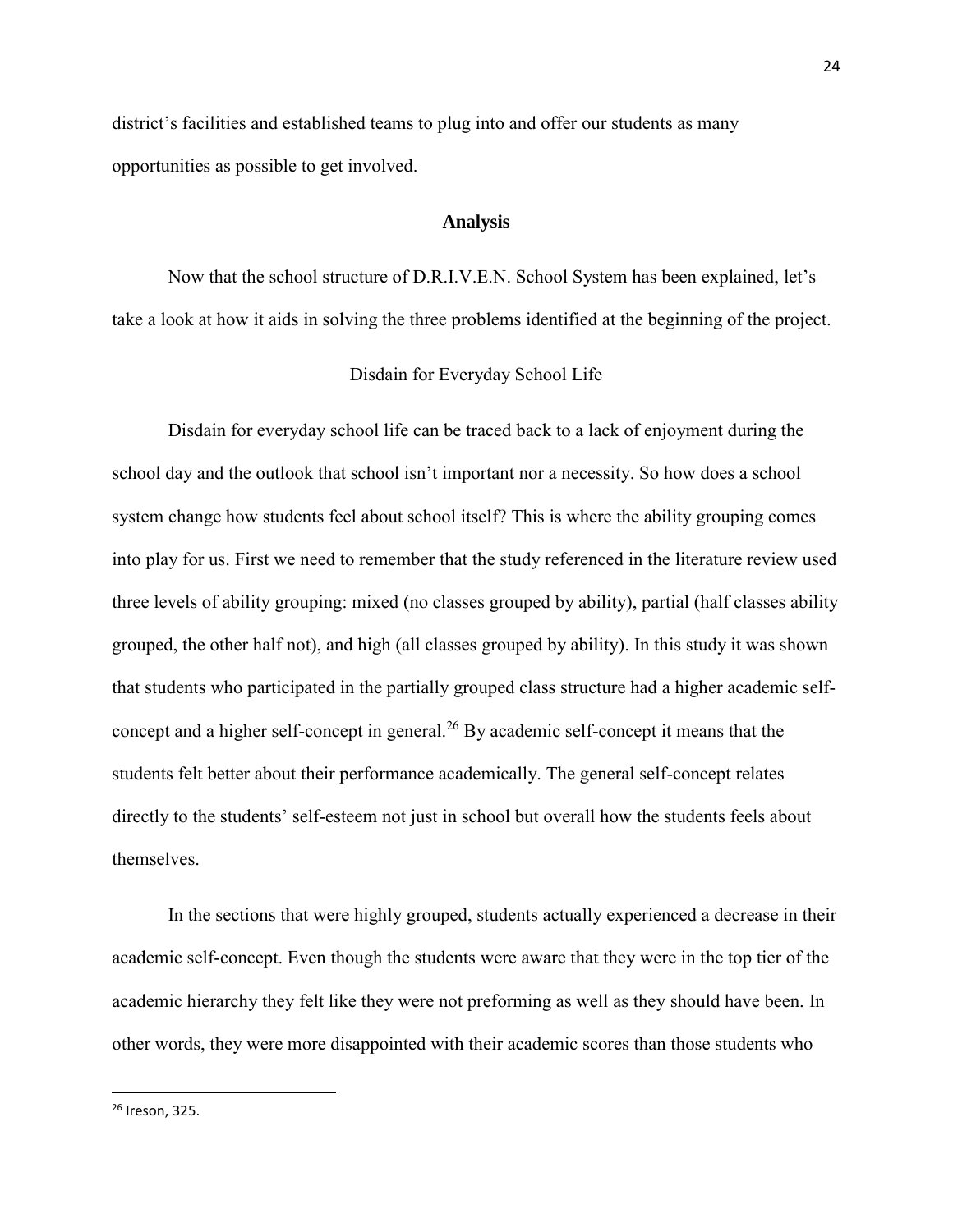district's facilities and established teams to plug into and offer our students as many opportunities as possible to get involved.

## **Analysis**

Now that the school structure of D.R.I.V.E.N. School System has been explained, let's take a look at how it aids in solving the three problems identified at the beginning of the project.

## Disdain for Everyday School Life

Disdain for everyday school life can be traced back to a lack of enjoyment during the school day and the outlook that school isn't important nor a necessity. So how does a school system change how students feel about school itself? This is where the ability grouping comes into play for us. First we need to remember that the study referenced in the literature review used three levels of ability grouping: mixed (no classes grouped by ability), partial (half classes ability grouped, the other half not), and high (all classes grouped by ability). In this study it was shown that students who participated in the partially grouped class structure had a higher academic selfconcept and a higher self-concept in general.<sup>26</sup> By academic self-concept it means that the students felt better about their performance academically. The general self-concept relates directly to the students' self-esteem not just in school but overall how the students feels about themselves.

In the sections that were highly grouped, students actually experienced a decrease in their academic self-concept. Even though the students were aware that they were in the top tier of the academic hierarchy they felt like they were not preforming as well as they should have been. In other words, they were more disappointed with their academic scores than those students who

<sup>26</sup> Ireson, 325.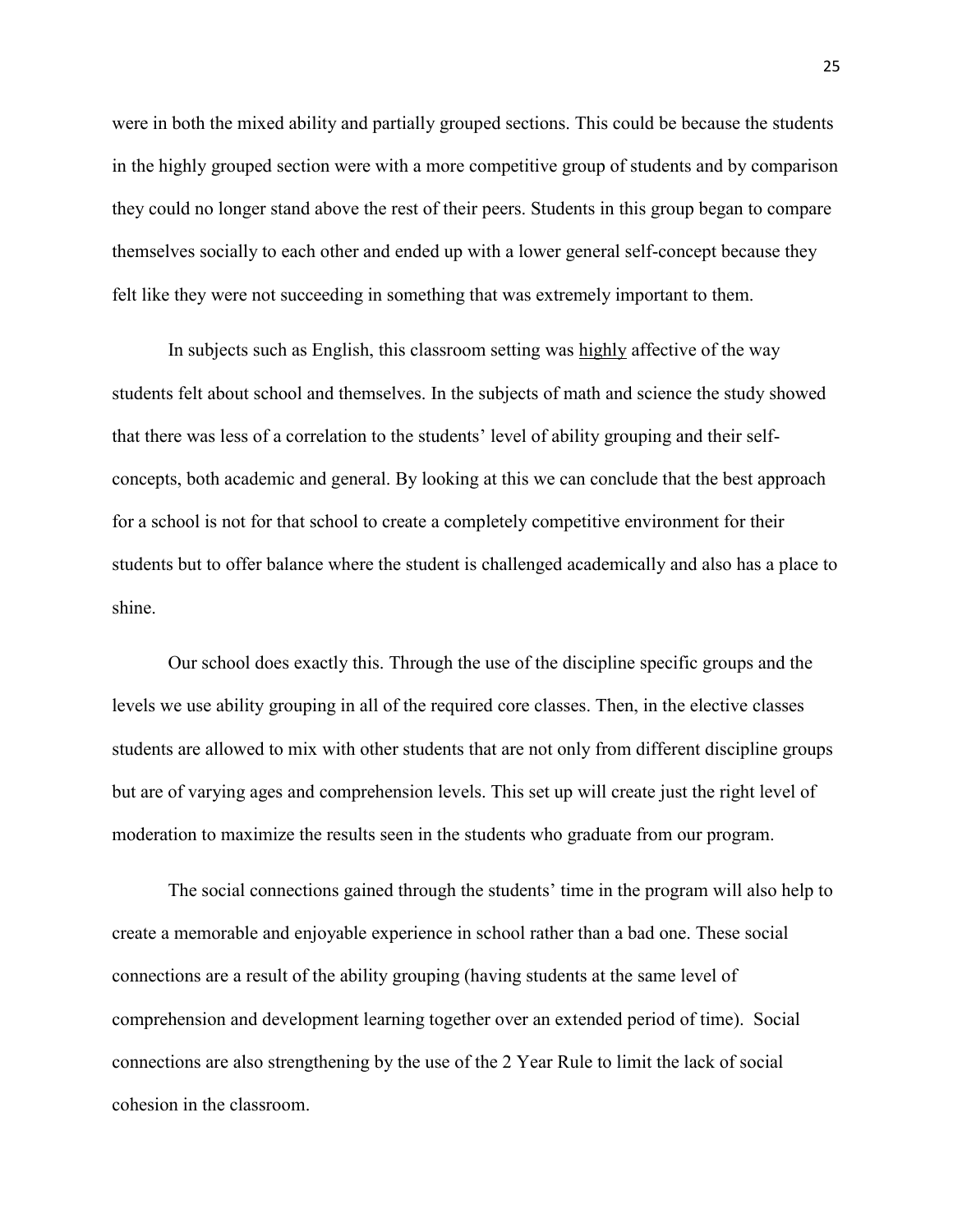were in both the mixed ability and partially grouped sections. This could be because the students in the highly grouped section were with a more competitive group of students and by comparison they could no longer stand above the rest of their peers. Students in this group began to compare themselves socially to each other and ended up with a lower general self-concept because they felt like they were not succeeding in something that was extremely important to them.

In subjects such as English, this classroom setting was highly affective of the way students felt about school and themselves. In the subjects of math and science the study showed that there was less of a correlation to the students' level of ability grouping and their selfconcepts, both academic and general. By looking at this we can conclude that the best approach for a school is not for that school to create a completely competitive environment for their students but to offer balance where the student is challenged academically and also has a place to shine.

Our school does exactly this. Through the use of the discipline specific groups and the levels we use ability grouping in all of the required core classes. Then, in the elective classes students are allowed to mix with other students that are not only from different discipline groups but are of varying ages and comprehension levels. This set up will create just the right level of moderation to maximize the results seen in the students who graduate from our program.

The social connections gained through the students' time in the program will also help to create a memorable and enjoyable experience in school rather than a bad one. These social connections are a result of the ability grouping (having students at the same level of comprehension and development learning together over an extended period of time). Social connections are also strengthening by the use of the 2 Year Rule to limit the lack of social cohesion in the classroom.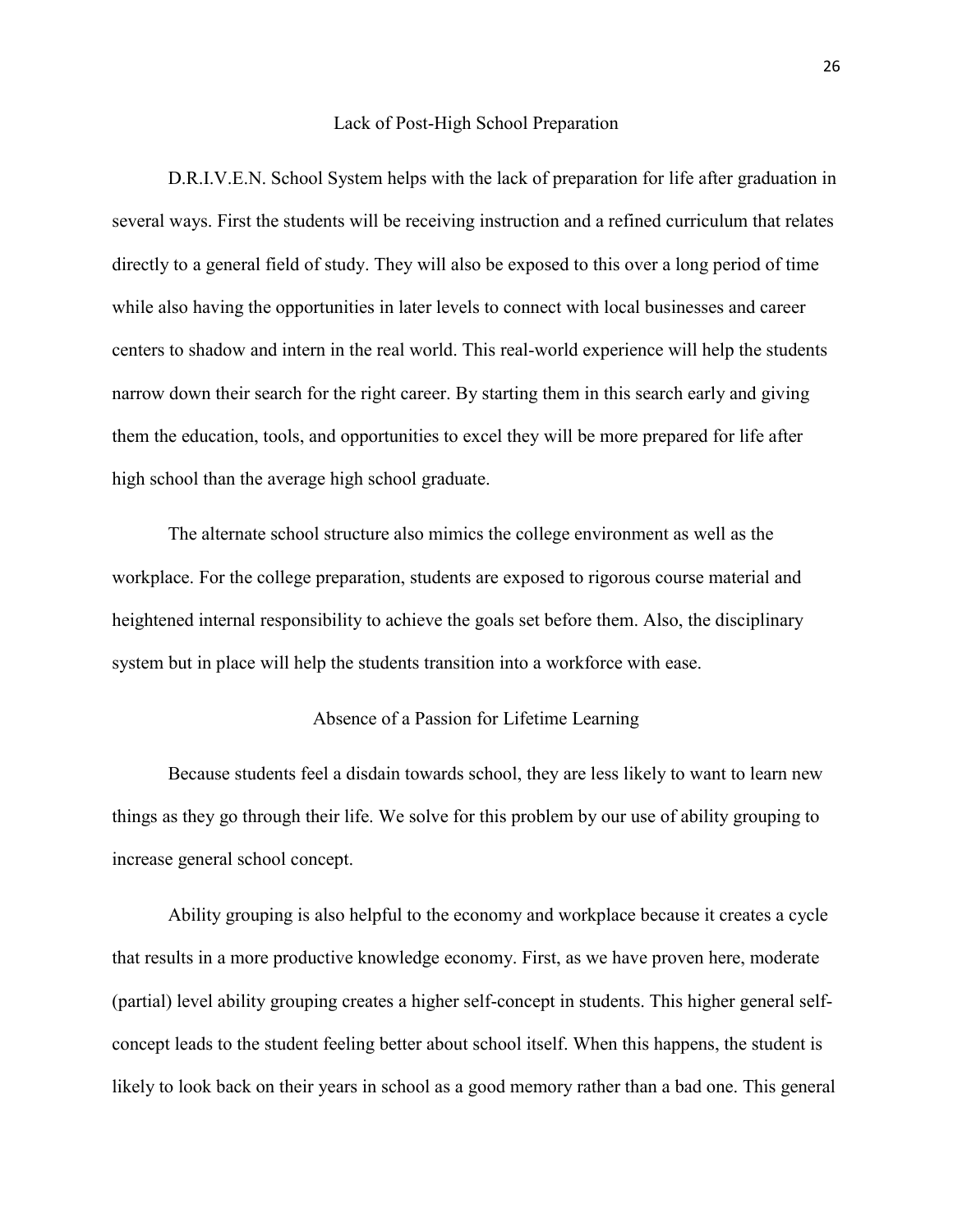#### Lack of Post-High School Preparation

D.R.I.V.E.N. School System helps with the lack of preparation for life after graduation in several ways. First the students will be receiving instruction and a refined curriculum that relates directly to a general field of study. They will also be exposed to this over a long period of time while also having the opportunities in later levels to connect with local businesses and career centers to shadow and intern in the real world. This real-world experience will help the students narrow down their search for the right career. By starting them in this search early and giving them the education, tools, and opportunities to excel they will be more prepared for life after high school than the average high school graduate.

The alternate school structure also mimics the college environment as well as the workplace. For the college preparation, students are exposed to rigorous course material and heightened internal responsibility to achieve the goals set before them. Also, the disciplinary system but in place will help the students transition into a workforce with ease.

## Absence of a Passion for Lifetime Learning

Because students feel a disdain towards school, they are less likely to want to learn new things as they go through their life. We solve for this problem by our use of ability grouping to increase general school concept.

Ability grouping is also helpful to the economy and workplace because it creates a cycle that results in a more productive knowledge economy. First, as we have proven here, moderate (partial) level ability grouping creates a higher self-concept in students. This higher general selfconcept leads to the student feeling better about school itself. When this happens, the student is likely to look back on their years in school as a good memory rather than a bad one. This general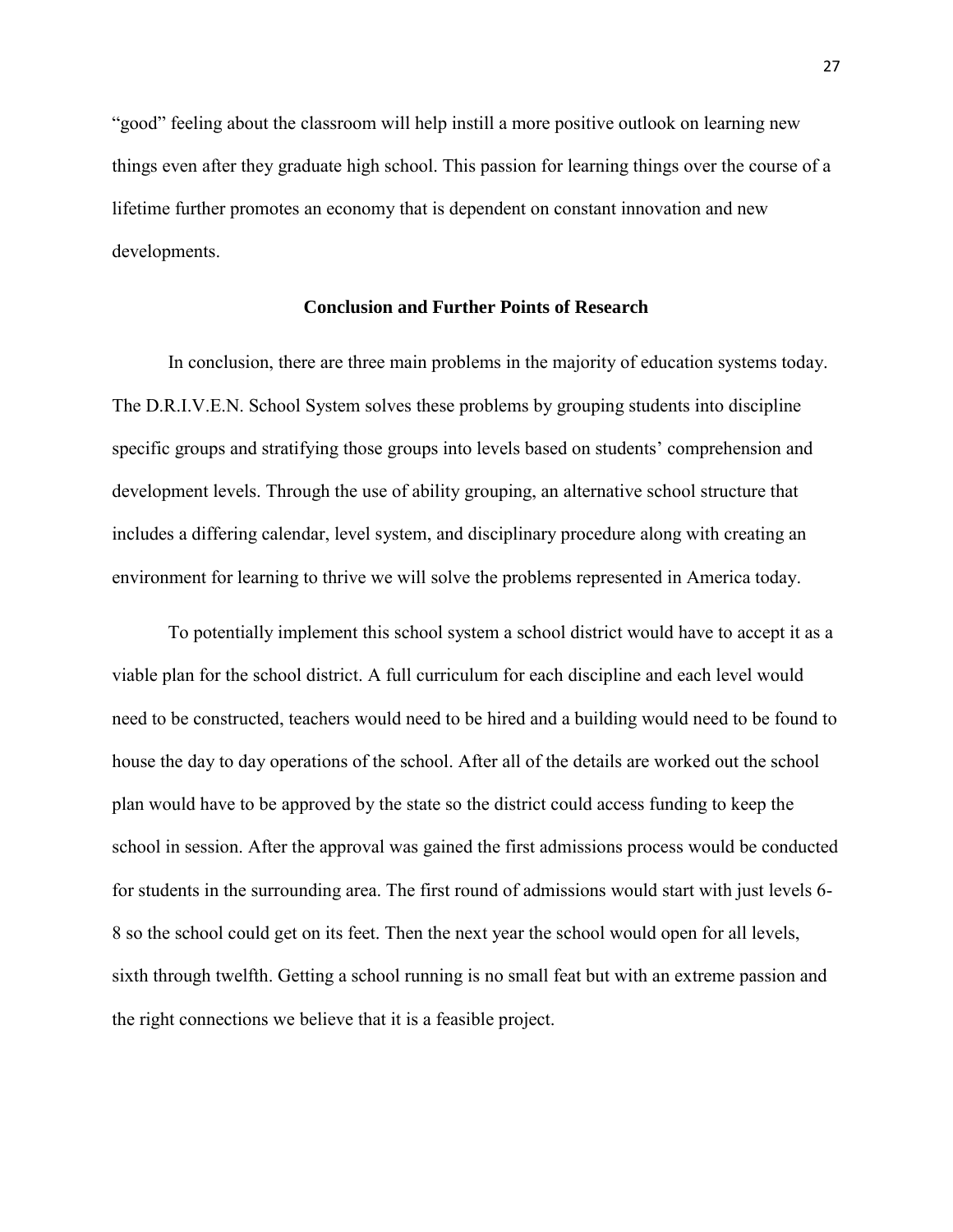"good" feeling about the classroom will help instill a more positive outlook on learning new things even after they graduate high school. This passion for learning things over the course of a lifetime further promotes an economy that is dependent on constant innovation and new developments.

# **Conclusion and Further Points of Research**

In conclusion, there are three main problems in the majority of education systems today. The D.R.I.V.E.N. School System solves these problems by grouping students into discipline specific groups and stratifying those groups into levels based on students' comprehension and development levels. Through the use of ability grouping, an alternative school structure that includes a differing calendar, level system, and disciplinary procedure along with creating an environment for learning to thrive we will solve the problems represented in America today.

To potentially implement this school system a school district would have to accept it as a viable plan for the school district. A full curriculum for each discipline and each level would need to be constructed, teachers would need to be hired and a building would need to be found to house the day to day operations of the school. After all of the details are worked out the school plan would have to be approved by the state so the district could access funding to keep the school in session. After the approval was gained the first admissions process would be conducted for students in the surrounding area. The first round of admissions would start with just levels 6- 8 so the school could get on its feet. Then the next year the school would open for all levels, sixth through twelfth. Getting a school running is no small feat but with an extreme passion and the right connections we believe that it is a feasible project.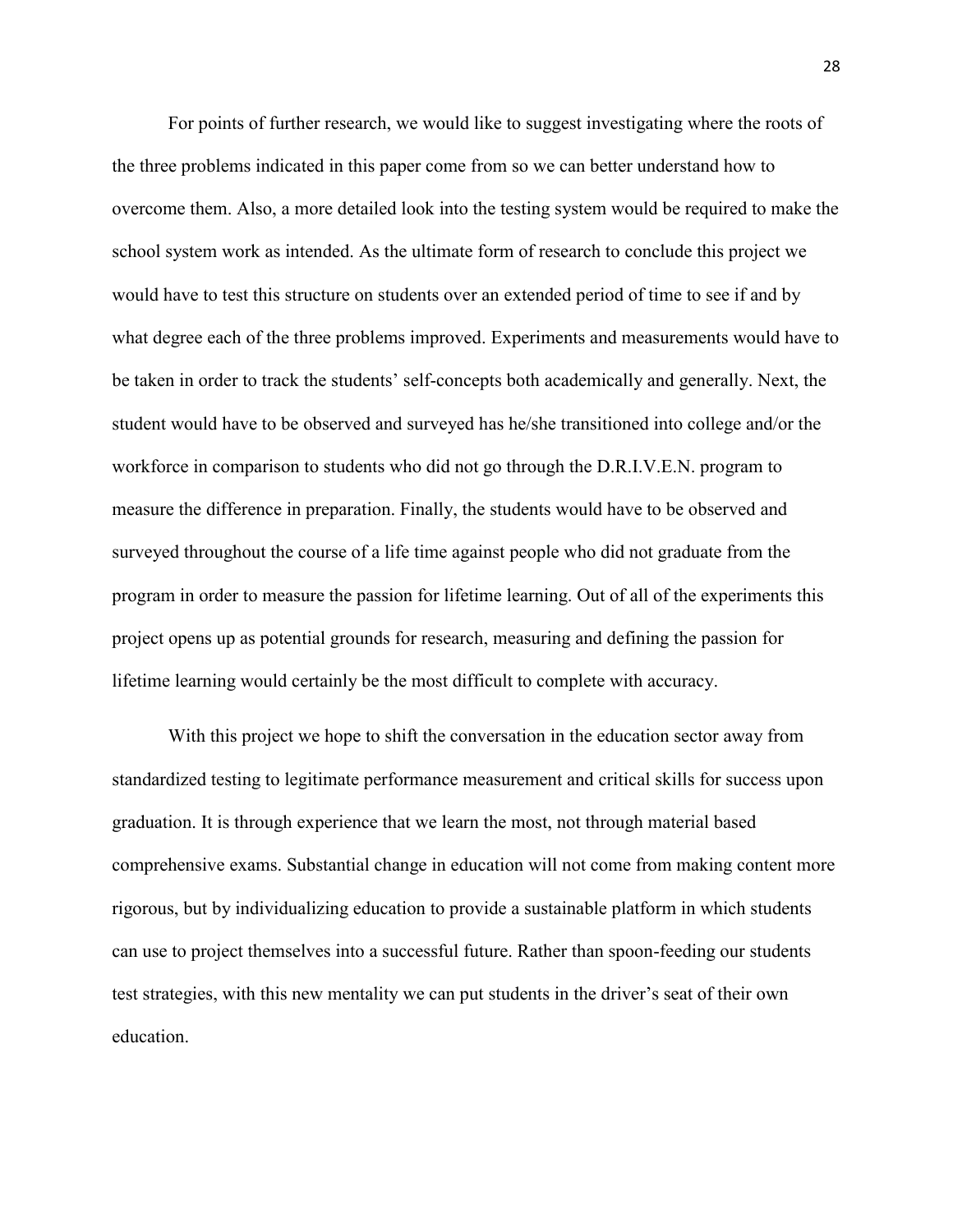For points of further research, we would like to suggest investigating where the roots of the three problems indicated in this paper come from so we can better understand how to overcome them. Also, a more detailed look into the testing system would be required to make the school system work as intended. As the ultimate form of research to conclude this project we would have to test this structure on students over an extended period of time to see if and by what degree each of the three problems improved. Experiments and measurements would have to be taken in order to track the students' self-concepts both academically and generally. Next, the student would have to be observed and surveyed has he/she transitioned into college and/or the workforce in comparison to students who did not go through the D.R.I.V.E.N. program to measure the difference in preparation. Finally, the students would have to be observed and surveyed throughout the course of a life time against people who did not graduate from the program in order to measure the passion for lifetime learning. Out of all of the experiments this project opens up as potential grounds for research, measuring and defining the passion for lifetime learning would certainly be the most difficult to complete with accuracy.

With this project we hope to shift the conversation in the education sector away from standardized testing to legitimate performance measurement and critical skills for success upon graduation. It is through experience that we learn the most, not through material based comprehensive exams. Substantial change in education will not come from making content more rigorous, but by individualizing education to provide a sustainable platform in which students can use to project themselves into a successful future. Rather than spoon-feeding our students test strategies, with this new mentality we can put students in the driver's seat of their own education.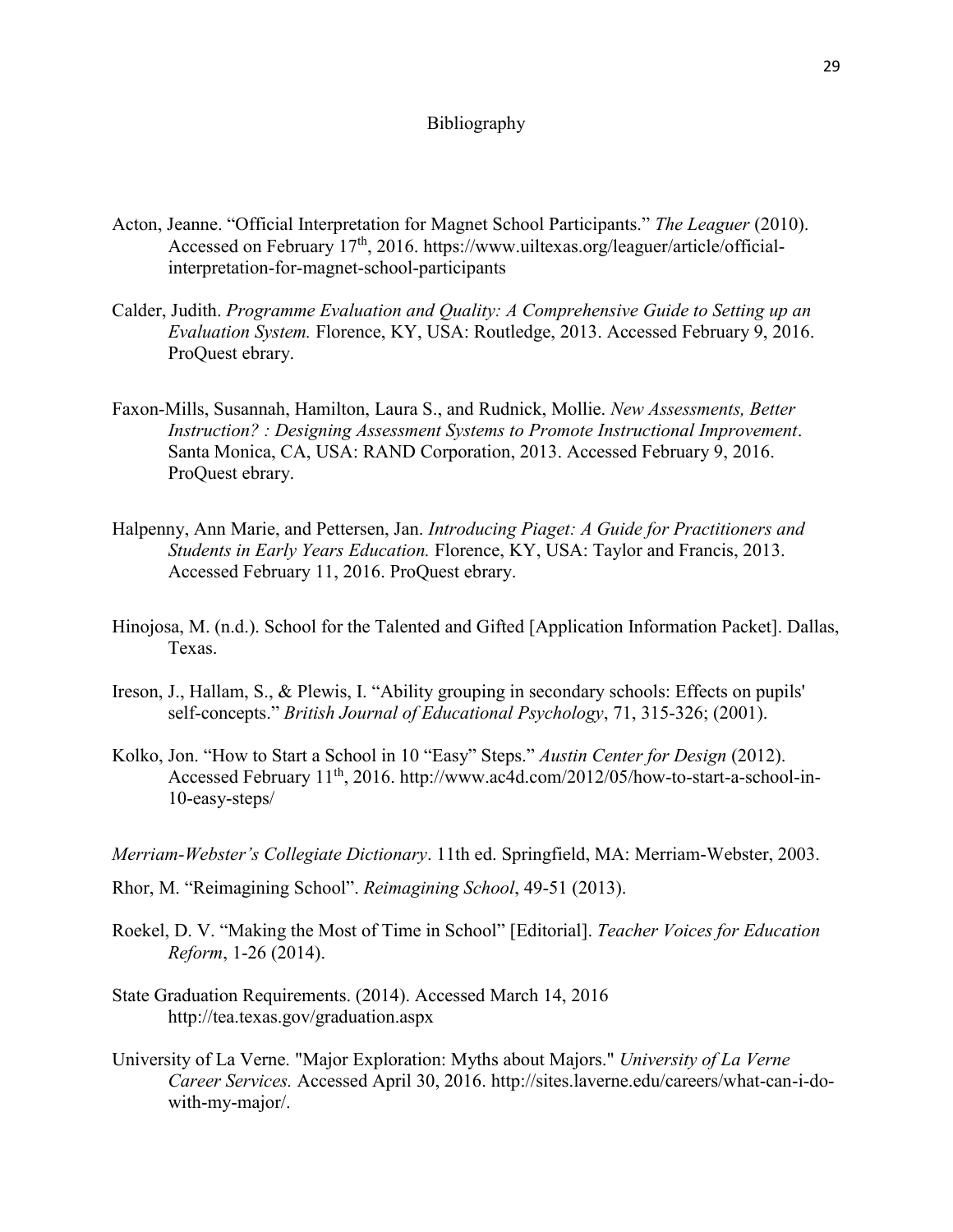## Bibliography

- Acton, Jeanne. "Official Interpretation for Magnet School Participants." *The Leaguer* (2010). Accessed on February 17<sup>th</sup>, 2016. https://www.uiltexas.org/leaguer/article/officialinterpretation-for-magnet-school-participants
- Calder, Judith. *Programme Evaluation and Quality: A Comprehensive Guide to Setting up an Evaluation System.* Florence, KY, USA: Routledge, 2013. Accessed February 9, 2016. ProQuest ebrary.
- Faxon-Mills, Susannah, Hamilton, Laura S., and Rudnick, Mollie. *New Assessments, Better Instruction? : Designing Assessment Systems to Promote Instructional Improvement*. Santa Monica, CA, USA: RAND Corporation, 2013. Accessed February 9, 2016. ProQuest ebrary.
- Halpenny, Ann Marie, and Pettersen, Jan. *Introducing Piaget: A Guide for Practitioners and Students in Early Years Education.* Florence, KY, USA: Taylor and Francis, 2013. Accessed February 11, 2016. ProQuest ebrary.
- Hinojosa, M. (n.d.). School for the Talented and Gifted [Application Information Packet]. Dallas, Texas.
- Ireson, J., Hallam, S., & Plewis, I. "Ability grouping in secondary schools: Effects on pupils' self-concepts." *British Journal of Educational Psychology*, 71, 315-326; (2001).
- Kolko, Jon. "How to Start a School in 10 "Easy" Steps." *Austin Center for Design* (2012). Accessed February 11th, 2016. http://www.ac4d.com/2012/05/how-to-start-a-school-in-10-easy-steps/
- *Merriam-Webster's Collegiate Dictionary*. 11th ed. Springfield, MA: Merriam-Webster, 2003.
- Rhor, M. "Reimagining School". *Reimagining School*, 49-51 (2013).
- Roekel, D. V. "Making the Most of Time in School" [Editorial]. *Teacher Voices for Education Reform*, 1-26 (2014).
- State Graduation Requirements. (2014). Accessed March 14, 2016 http://tea.texas.gov/graduation.aspx
- University of La Verne. "Major Exploration: Myths about Majors." *University of La Verne Career Services.* Accessed April 30, 2016. http://sites.laverne.edu/careers/what-can-i-dowith-my-major/.